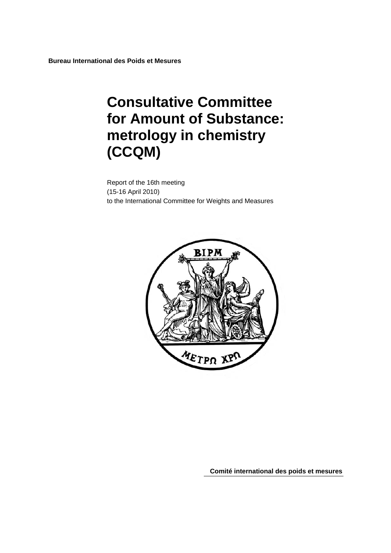**Bureau International des Poids et Mesures** 

# **Consultative Committee for Amount of Substance: metrology in chemistry (CCQM)**

Report of the 16th meeting (15-16 April 2010) to the International Committee for Weights and Measures



**Comité international des poids et mesures**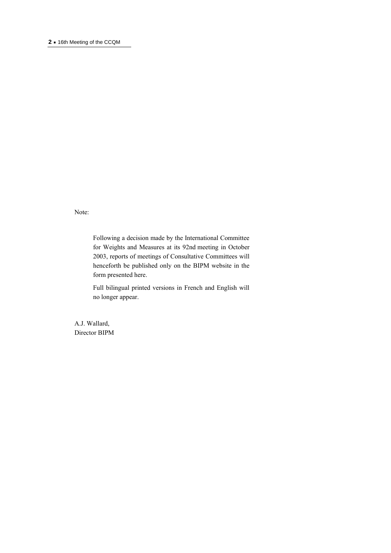#### **<sup>2</sup> ·** 16th Meeting of the CCQM

Note:

Following a decision made by the International Committee for Weights and Measures at its 92nd meeting in October 2003, reports of meetings of Consultative Committees will henceforth be published only on the BIPM website in the form presented here.

Full bilingual printed versions in French and English will no longer appear.

A.J. Wallard, Director BIPM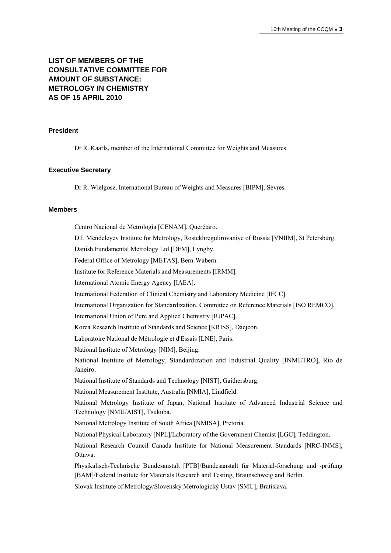## **LIST OF MEMBERS OF THE CONSULTATIVE COMMITTEE FOR AMOUNT OF SUBSTANCE: METROLOGY IN CHEMISTRY AS OF 15 APRIL 2010**

#### **President**

Dr R. Kaarls, member of the International Committee for Weights and Measures.

#### **Executive Secretary**

Dr R. Wielgosz, International Bureau of Weights and Measures [BIPM], Sèvres.

#### **Members**

Centro Nacional de Metrología [CENAM], Querétaro. D.I. Mendeleyev Institute for Metrology, Rostekhregulirovaniye of Russia [VNIIM], St Petersburg. Danish Fundamental Metrology Ltd [DFM], Lyngby. Federal Office of Metrology [METAS], Bern-Wabern. Institute for Reference Materials and Measurements [IRMM]. International Atomic Energy Agency [IAEA]. International Federation of Clinical Chemistry and Laboratory Medicine [IFCC]. International Organization for Standardization, Committee on Reference Materials [ISO REMCO]. International Union of Pure and Applied Chemistry [IUPAC]. Korea Research Institute of Standards and Science [KRISS], Daejeon. Laboratoire National de Métrologie et d'Essais [LNE], Paris. National Institute of Metrology [NIM], Beijing. National Institute of Metrology, Standardization and Industrial Quality [INMETRO], Rio de Janeiro. National Institute of Standards and Technology [NIST], Gaithersburg. National Measurement Institute, Australia [NMIA], Lindfield. National Metrology Institute of Japan, National Institute of Advanced Industrial Science and Technology [NMIJ/AIST], Tsukuba. National Metrology Institute of South Africa [NMISA], Pretoria. National Physical Laboratory [NPL]/Laboratory of the Government Chemist [LGC], Teddington. National Research Council Canada Institute for National Measurement Standards [NRC-INMS], Ottawa. Physikalisch-Technische Bundesanstalt [PTB]/Bundesanstalt für Material-forschung und -prüfung

[BAM]/Federal Institute for Materials Research and Testing, Braunschweig and Berlin.

Slovak Institute of Metrology/Slovenský Metrologický Ústav [SMU], Bratislava.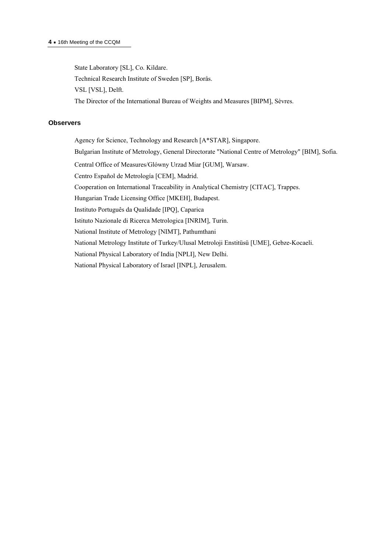State Laboratory [SL], Co. Kildare. Technical Research Institute of Sweden [SP], Borås. VSL [VSL], Delft. The Director of the International Bureau of Weights and Measures [BIPM], Sèvres.

#### **Observers**

Agency for Science, Technology and Research [A\*STAR], Singapore. Bulgarian Institute of Metrology, General Directorate "National Centre of Metrology" [BIM], Sofia. Central Office of Measures/Glόwny Urzad Miar [GUM], Warsaw. Centro Español de Metrología [CEM], Madrid. Cooperation on International Traceability in Analytical Chemistry [CITAC], Trappes. Hungarian Trade Licensing Office [MKEH], Budapest. Instituto Português da Qualidade [IPQ], Caparica Istituto Nazionale di Ricerca Metrologica [INRIM], Turin. National Institute of Metrology [NIMT], Pathumthani National Metrology Institute of Turkey/Ulusal Metroloji Enstitüsü [UME], Gebze-Kocaeli. National Physical Laboratory of India [NPLI], New Delhi. National Physical Laboratory of Israel [INPL], Jerusalem.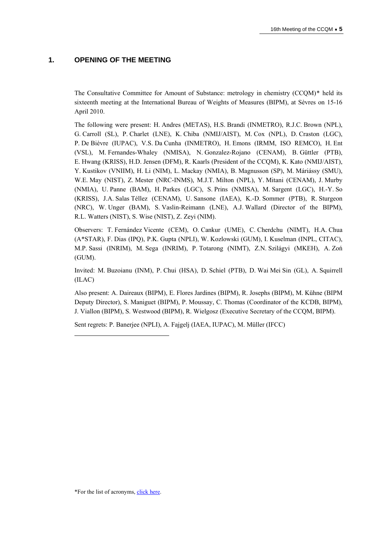## **1. OPENING OF THE MEETING**

The Consultative Committee for Amount of Substance: metrology in chemistry (CCQM)[\\*](#page-4-0) held its sixteenth meeting at the International Bureau of Weights of Measures (BIPM), at Sèvres on 15-16 April 2010.

The following were present: H. Andres (METAS), H.S. Brandi (INMETRO), R.J.C. Brown (NPL), G. Carroll (SL), P. Charlet (LNE), K. Chiba (NMIJ/AIST), M. Cox (NPL), D. Craston (LGC), P. De Bièvre (IUPAC), V.S. Da Cunha (INMETRO), H. Emons (IRMM, ISO REMCO), H. Ent (VSL), M. Fernandes-Whaley (NMISA), N. Gonzalez-Rojano (CENAM), B. Güttler (PTB), E. Hwang (KRISS), H.D. Jensen (DFM), R. Kaarls (President of the CCQM), K. Kato (NMIJ/AIST), Y. Kustikov (VNIIM), H. Li (NIM), L. Mackay (NMIA), B. Magnusson (SP), M. Máriássy (SMU), W.E. May (NIST), Z. Mester (NRC-INMS), M.J.T. Milton (NPL), Y. Mitani (CENAM), J. Murby (NMIA), U. Panne (BAM), H. Parkes (LGC), S. Prins (NMISA), M. Sargent (LGC), H.-Y. So (KRISS), J.A. Salas Téllez (CENAM), U. Sansone (IAEA), K.-D. Sommer (PTB), R. Sturgeon (NRC), W. Unger (BAM), S. Vaslin-Reimann (LNE), A.J. Wallard (Director of the BIPM), R.L. Watters (NIST), S. Wise (NIST), Z. Zeyi (NIM).

Observers: T. Fernández Vicente (CEM), O. Cankur (UME), C. Cherdchu (NIMT), H.A. Chua (A\*STAR), F. Dias (IPQ), P.K. Gupta (NPLI), W. Kozlowski (GUM), I. Kuselman (INPL, CITAC), M.P. Sassi (INRIM), M. Sega (INRIM), P. Totarong (NIMT), Z.N. Szilágyi (MKEH), A. Zoń (GUM).

Invited: M. Buzoianu (INM), P. Chui (HSA), D. Schiel (PTB), D. Wai Mei Sin (GL), A. Squirrell (ILAC)

Also present: A. Daireaux (BIPM), E. Flores Jardines (BIPM), R. Josephs (BIPM), M. Kühne (BIPM Deputy Director), S. Maniguet (BIPM), P. Moussay, C. Thomas (Coordinator of the KCDB, BIPM), J. Viallon (BIPM), S. Westwood (BIPM), R. Wielgosz (Executive Secretary of the CCQM, BIPM).

Sent regrets: P. Banerjee (NPLI), A. Fajgelj (IAEA, IUPAC), M. Müller (IFCC)

<span id="page-4-0"></span> $\overline{a}$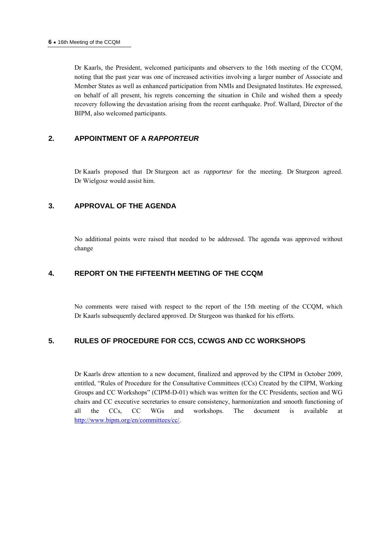Dr Kaarls, the President, welcomed participants and observers to the 16th meeting of the CCQM, noting that the past year was one of increased activities involving a larger number of Associate and Member States as well as enhanced participation from NMIs and Designated Institutes. He expressed, on behalf of all present, his regrets concerning the situation in Chile and wished them a speedy recovery following the devastation arising from the recent earthquake. Prof. Wallard, Director of the BIPM, also welcomed participants.

## **2. APPOINTMENT OF A** *RAPPORTEUR*

Dr Kaarls proposed that Dr Sturgeon act as *rapporteur* for the meeting. Dr Sturgeon agreed. Dr Wielgosz would assist him.

## **3. APPROVAL OF THE AGENDA**

No additional points were raised that needed to be addressed. The agenda was approved without change

## **4. REPORT ON THE FIFTEENTH MEETING OF THE CCQM**

No comments were raised with respect to the report of the 15th meeting of the CCQM, which Dr Kaarls subsequently declared approved. Dr Sturgeon was thanked for his efforts.

## **5. RULES OF PROCEDURE FOR CCS, CCWGS AND CC WORKSHOPS**

Dr Kaarls drew attention to a new document, finalized and approved by the CIPM in October 2009, entitled, "Rules of Procedure for the Consultative Committees (CCs) Created by the CIPM, Working Groups and CC Workshops" (CIPM-D-01) which was written for the CC Presidents, section and WG chairs and CC executive secretaries to ensure consistency, harmonization and smooth functioning of all the CCs, CC WGs and workshops. The document is available at <http://www.bipm.org/en/committees/cc/>.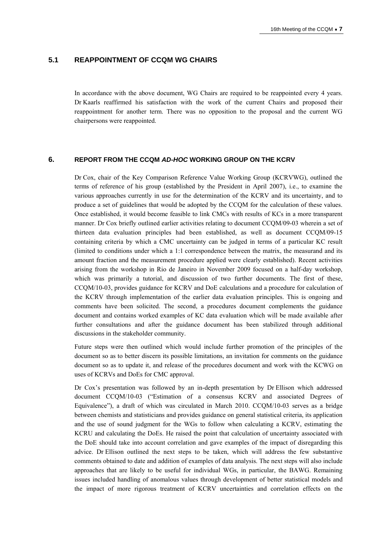## **5.1 REAPPOINTMENT OF CCQM WG CHAIRS**

In accordance with the above document, WG Chairs are required to be reappointed every 4 years. Dr Kaarls reaffirmed his satisfaction with the work of the current Chairs and proposed their reappointment for another term. There was no opposition to the proposal and the current WG chairpersons were reappointed.

#### **6. REPORT FROM THE CCQM** *AD-HOC* **WORKING GROUP ON THE KCRV**

Dr Cox, chair of the Key Comparison Reference Value Working Group (KCRVWG), outlined the terms of reference of his group (established by the President in April 2007), i.e., to examine the various approaches currently in use for the determination of the KCRV and its uncertainty, and to produce a set of guidelines that would be adopted by the CCQM for the calculation of these values. Once established, it would become feasible to link CMCs with results of KCs in a more transparent manner. Dr Cox briefly outlined earlier activities relating to document CCQM/09-03 wherein a set of thirteen data evaluation principles had been established, as well as document CCQM/09-15 containing criteria by which a CMC uncertainty can be judged in terms of a particular KC result (limited to conditions under which a 1:1 correspondence between the matrix, the measurand and its amount fraction and the measurement procedure applied were clearly established). Recent activities arising from the workshop in Rio de Janeiro in November 2009 focused on a half-day workshop, which was primarily a tutorial, and discussion of two further documents. The first of these, CCQM/10-03, provides guidance for KCRV and DoE calculations and a procedure for calculation of the KCRV through implementation of the earlier data evaluation principles. This is ongoing and comments have been solicited. The second, a procedures document complements the guidance document and contains worked examples of KC data evaluation which will be made available after further consultations and after the guidance document has been stabilized through additional discussions in the stakeholder community.

Future steps were then outlined which would include further promotion of the principles of the document so as to better discern its possible limitations, an invitation for comments on the guidance document so as to update it, and release of the procedures document and work with the KCWG on uses of KCRVs and DoEs for CMC approval.

Dr Cox's presentation was followed by an in-depth presentation by Dr Ellison which addressed document CCQM/10-03 ("Estimation of a consensus KCRV and associated Degrees of Equivalence"), a draft of which was circulated in March 2010. CCQM/10-03 serves as a bridge between chemists and statisticians and provides guidance on general statistical criteria, its application and the use of sound judgment for the WGs to follow when calculating a KCRV, estimating the KCRU and calculating the DoEs. He raised the point that calculation of uncertainty associated with the DoE should take into account correlation and gave examples of the impact of disregarding this advice. Dr Ellison outlined the next steps to be taken, which will address the few substantive comments obtained to date and addition of examples of data analysis. The next steps will also include approaches that are likely to be useful for individual WGs, in particular, the BAWG. Remaining issues included handling of anomalous values through development of better statistical models and the impact of more rigorous treatment of KCRV uncertainties and correlation effects on the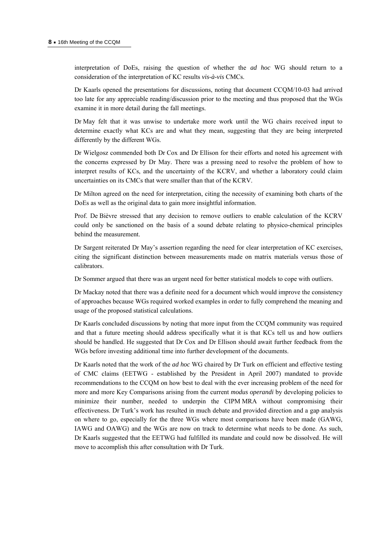interpretation of DoEs, raising the question of whether the *ad hoc* WG should return to a consideration of the interpretation of KC results *vis-à-vis* CMCs.

Dr Kaarls opened the presentations for discussions, noting that document CCQM/10-03 had arrived too late for any appreciable reading/discussion prior to the meeting and thus proposed that the WGs examine it in more detail during the fall meetings.

Dr May felt that it was unwise to undertake more work until the WG chairs received input to determine exactly what KCs are and what they mean, suggesting that they are being interpreted differently by the different WGs.

Dr Wielgosz commended both Dr Cox and Dr Ellison for their efforts and noted his agreement with the concerns expressed by Dr May. There was a pressing need to resolve the problem of how to interpret results of KCs, and the uncertainty of the KCRV, and whether a laboratory could claim uncertainties on its CMCs that were smaller than that of the KCRV.

Dr Milton agreed on the need for interpretation, citing the necessity of examining both charts of the DoEs as well as the original data to gain more insightful information.

Prof. De Bièvre stressed that any decision to remove outliers to enable calculation of the KCRV could only be sanctioned on the basis of a sound debate relating to physico-chemical principles behind the measurement.

Dr Sargent reiterated Dr May's assertion regarding the need for clear interpretation of KC exercises, citing the significant distinction between measurements made on matrix materials versus those of calibrators.

Dr Sommer argued that there was an urgent need for better statistical models to cope with outliers.

Dr Mackay noted that there was a definite need for a document which would improve the consistency of approaches because WGs required worked examples in order to fully comprehend the meaning and usage of the proposed statistical calculations.

Dr Kaarls concluded discussions by noting that more input from the CCQM community was required and that a future meeting should address specifically what it is that KCs tell us and how outliers should be handled. He suggested that Dr Cox and Dr Ellison should await further feedback from the WGs before investing additional time into further development of the documents.

Dr Kaarls noted that the work of the *ad hoc* WG chaired by Dr Turk on efficient and effective testing of CMC claims (EETWG - established by the President in April 2007) mandated to provide recommendations to the CCQM on how best to deal with the ever increasing problem of the need for more and more Key Comparisons arising from the current *modus operandi* by developing policies to minimize their number, needed to underpin the CIPM MRA without compromising their effectiveness. Dr Turk's work has resulted in much debate and provided direction and a gap analysis on where to go, especially for the three WGs where most comparisons have been made (GAWG, IAWG and OAWG) and the WGs are now on track to determine what needs to be done. As such, Dr Kaarls suggested that the EETWG had fulfilled its mandate and could now be dissolved. He will move to accomplish this after consultation with Dr Turk.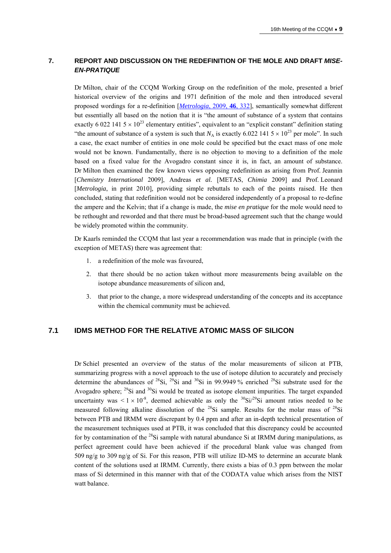## **7. REPORT AND DISCUSSION ON THE REDEFINITION OF THE MOLE AND DRAFT** *MISE-EN-PRATIQUE*

Dr Milton, chair of the CCQM Working Group on the redefinition of the mole, presented a brief historical overview of the origins and 1971 definition of the mole and then introduced several proposed wordings for a re-definition [*[Metrologia](http://stacks.iop.org/0026-1394/46/332)*, 2009, **46**, 332], semantically somewhat different but essentially all based on the notion that it is "the amount of substance of a system that contains exactly 6 022 141  $5 \times 10^{23}$  elementary entities", equivalent to an "explicit constant" definition stating "the amount of substance of a system is such that  $N_A$  is exactly 6.022 141 5  $\times$  10<sup>23</sup> per mole". In such a case, the exact number of entities in one mole could be specified but the exact mass of one mole would not be known. Fundamentally, there is no objection to moving to a definition of the mole based on a fixed value for the Avogadro constant since it is, in fact, an amount of substance. Dr Milton then examined the few known views opposing redefinition as arising from Prof. Jeannin [*Chemistry International* 2009], Andreas *et al.* [METAS, *Chimia* 2009] and Prof. Leonard [*Metrologia*, in print 2010], providing simple rebuttals to each of the points raised. He then concluded, stating that redefinition would not be considered independently of a proposal to re-define the ampere and the Kelvin; that if a change is made, the *mise en pratique* for the mole would need to be rethought and reworded and that there must be broad-based agreement such that the change would be widely promoted within the community.

Dr Kaarls reminded the CCQM that last year a recommendation was made that in principle (with the exception of METAS) there was agreement that:

- 1. a redefinition of the mole was favoured,
- 2. that there should be no action taken without more measurements being available on the isotope abundance measurements of silicon and,
- 3. that prior to the change, a more widespread understanding of the concepts and its acceptance within the chemical community must be achieved.

## **7.1 IDMS METHOD FOR THE RELATIVE ATOMIC MASS OF SILICON**

Dr Schiel presented an overview of the status of the molar measurements of silicon at PTB, summarizing progress with a novel approach to the use of isotope dilution to accurately and precisely determine the abundances of  $^{28}Si$ ,  $^{29}Si$  and  $^{30}Si$  in 99.9949 % enriched  $^{28}Si$  substrate used for the Avogadro sphere;  $^{29}$ Si and  $^{30}$ Si would be treated as isotope element impurities. The target expanded uncertainty was  $\leq 1 \times 10^{-8}$ , deemed achievable as only the <sup>30</sup>Si/<sup>29</sup>Si amount ratios needed to be measured following alkaline dissolution of the  $^{28}Si$  sample. Results for the molar mass of  $^{28}Si$ between PTB and IRMM were discrepant by 0.4 ppm and after an in-depth technical presentation of the measurement techniques used at PTB, it was concluded that this discrepancy could be accounted for by contamination of the <sup>28</sup>Si sample with natural abundance Si at IRMM during manipulations, as perfect agreement could have been achieved if the procedural blank value was changed from 509 ng/g to 309 ng/g of Si. For this reason, PTB will utilize ID-MS to determine an accurate blank content of the solutions used at IRMM. Currently, there exists a bias of 0.3 ppm between the molar mass of Si determined in this manner with that of the CODATA value which arises from the NIST watt balance.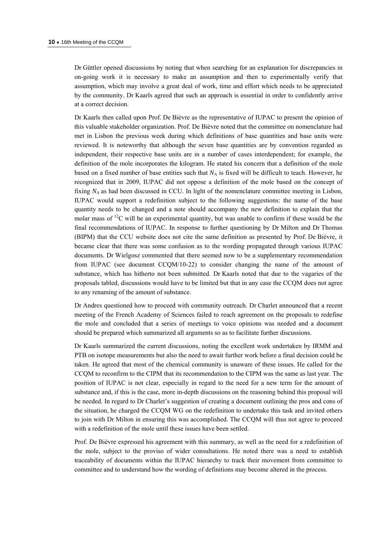Dr Güttler opened discussions by noting that when searching for an explanation for discrepancies in on-going work it is necessary to make an assumption and then to experimentally verify that assumption, which may involve a great deal of work, time and effort which needs to be appreciated by the community. Dr Kaarls agreed that such an approach is essential in order to confidently arrive at a correct decision.

Dr Kaarls then called upon Prof. De Bièvre as the representative of IUPAC to present the opinion of this valuable stakeholder organization. Prof. De Bièvre noted that the committee on nomenclature had met in Lisbon the previous week during which definitions of base quantities and base units were reviewed. It is noteworthy that although the seven base quantities are by convention regarded as independent, their respective base units are in a number of cases interdependent; for example, the definition of the mole incorporates the kilogram. He stated his concern that a definition of the mole based on a fixed number of base entities such that  $N_A$  is fixed will be difficult to teach. However, he recognized that in 2009, IUPAC did not oppose a definition of the mole based on the concept of fixing  $N_A$  as had been discussed in CCU. In light of the nomenclature committee meeting in Lisbon, IUPAC would support a redefinition subject to the following suggestions: the name of the base quantity needs to be changed and a note should accompany the new definition to explain that the molar mass of  $^{12}$ C will be an experimental quantity, but was unable to confirm if these would be the final recommendations of IUPAC. In response to further questioning by Dr Milton and Dr Thomas (BIPM) that the CCU website does not cite the same definition as presented by Prof. De Bièvre, it became clear that there was some confusion as to the wording propagated through various IUPAC documents. Dr Wielgosz commented that there seemed now to be a supplementary recommendation from IUPAC (see document CCQM/10-22) to consider changing the name of the amount of substance, which has hitherto not been submitted. Dr Kaarls noted that due to the vagaries of the proposals tabled, discussions would have to be limited but that in any case the CCQM does not agree to any renaming of the amount of substance.

Dr Andres questioned how to proceed with community outreach. Dr Charlet announced that a recent meeting of the French Academy of Sciences failed to reach agreement on the proposals to redefine the mole and concluded that a series of meetings to voice opinions was needed and a document should be prepared which summarized all arguments so as to facilitate further discussions.

Dr Kaarls summarized the current discussions, noting the excellent work undertaken by IRMM and PTB on isotope measurements but also the need to await further work before a final decision could be taken. He agreed that most of the chemical community is unaware of these issues. He called for the CCQM to reconfirm to the CIPM that its recommendation to the CIPM was the same as last year. The position of IUPAC is not clear, especially in regard to the need for a new term for the amount of substance and, if this is the case, more in-depth discussions on the reasoning behind this proposal will be needed. In regard to Dr Charlet's suggestion of creating a document outlining the pros and cons of the situation, he charged the CCQM WG on the redefinition to undertake this task and invited others to join with Dr Milton in ensuring this was accomplished. The CCQM will thus not agree to proceed with a redefinition of the mole until these issues have been settled.

Prof. De Bièvre expressed his agreement with this summary, as well as the need for a redefinition of the mole, subject to the proviso of wider consultations. He noted there was a need to establish traceability of documents within the IUPAC hierarchy to track their movement from committee to committee and to understand how the wording of definitions may become altered in the process.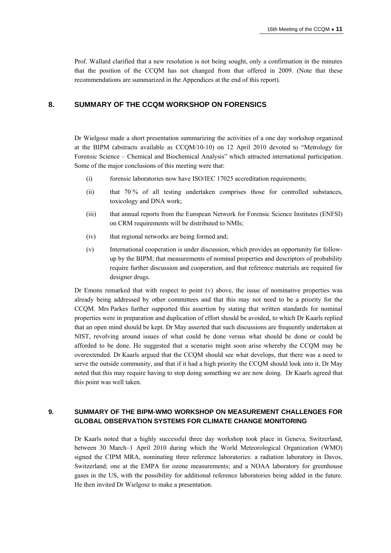Prof. Wallard clarified that a new resolution is not being sought, only a confirmation in the minutes that the position of the CCQM has not changed from that offered in 2009. (Note that these recommendations are summarized in the Appendices at the end of this report).

## **8. SUMMARY OF THE CCQM WORKSHOP ON FORENSICS**

Dr Wielgosz made a short presentation summarizing the activities of a one day workshop organized at the BIPM (abstracts available as CCQM/10-10) on 12 April 2010 devoted to "Metrology for Forensic Science – Chemical and Biochemical Analysis" which attracted international participation. Some of the major conclusions of this meeting were that:

- (i) forensic laboratories now have ISO/IEC 17025 accreditation requirements;
- (ii) that 70 % of all testing undertaken comprises those for controlled substances, toxicology and DNA work;
- (iii) that annual reports from the European Network for Forensic Science Institutes (ENFSI) on CRM requirements will be distributed to NMIs;
- (iv) that regional networks are being formed and;
- (v) International cooperation is under discussion, which provides an opportunity for followup by the BIPM; that measurements of nominal properties and descriptors of probability require further discussion and cooperation, and that reference materials are required for designer drugs.

Dr Emons remarked that with respect to point  $(v)$  above, the issue of nominative properties was already being addressed by other committees and that this may not need to be a priority for the CCQM. Mrs Parkes further supported this assertion by stating that written standards for nominal properties were in preparation and duplication of effort should be avoided, to which Dr Kaarls replied that an open mind should be kept. Dr May asserted that such discussions are frequently undertaken at NIST, revolving around issues of what could be done versus what should be done or could be afforded to be done. He suggested that a scenario might soon arise whereby the CCQM may be overextended. Dr Kaarls argued that the CCQM should see what develops, that there was a need to serve the outside community, and that if it had a high priority the CCQM should look into it. Dr May noted that this may require having to stop doing something we are now doing. Dr Kaarls agreed that this point was well taken.

## **9. SUMMARY OF THE BIPM-WMO WORKSHOP ON MEASUREMENT CHALLENGES FOR GLOBAL OBSERVATION SYSTEMS FOR CLIMATE CHANGE MONITORING**

Dr Kaarls noted that a highly successful three day workshop took place in Geneva, Switzerland, between 30 March–1 April 2010 during which the World Meteorological Organization (WMO) signed the CIPM MRA, nominating three reference laboratories: a radiation laboratory in Davos, Switzerland; one at the EMPA for ozone measurements; and a NOAA laboratory for greenhouse gases in the US, with the possibility for additional reference laboratories being added in the future. He then invited Dr Wielgosz to make a presentation.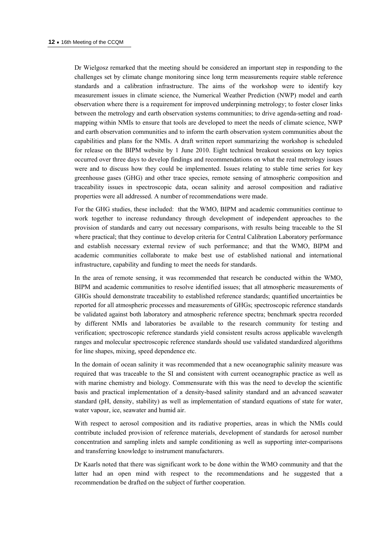Dr Wielgosz remarked that the meeting should be considered an important step in responding to the challenges set by climate change monitoring since long term measurements require stable reference standards and a calibration infrastructure. The aims of the workshop were to identify key measurement issues in climate science, the Numerical Weather Prediction (NWP) model and earth observation where there is a requirement for improved underpinning metrology; to foster closer links between the metrology and earth observation systems communities; to drive agenda-setting and roadmapping within NMIs to ensure that tools are developed to meet the needs of climate science, NWP and earth observation communities and to inform the earth observation system communities about the capabilities and plans for the NMIs. A draft written report summarizing the workshop is scheduled for release on the BIPM website by 1 June 2010. Eight technical breakout sessions on key topics occurred over three days to develop findings and recommendations on what the real metrology issues were and to discuss how they could be implemented. Issues relating to stable time series for key greenhouse gases (GHG) and other trace species, remote sensing of atmospheric composition and traceability issues in spectroscopic data, ocean salinity and aerosol composition and radiative properties were all addressed. A number of recommendations were made.

For the GHG studies, these included: that the WMO, BIPM and academic communities continue to work together to increase redundancy through development of independent approaches to the provision of standards and carry out necessary comparisons, with results being traceable to the SI where practical; that they continue to develop criteria for Central Calibration Laboratory performance and establish necessary external review of such performance; and that the WMO, BIPM and academic communities collaborate to make best use of established national and international infrastructure, capability and funding to meet the needs for standards.

In the area of remote sensing, it was recommended that research be conducted within the WMO, BIPM and academic communities to resolve identified issues; that all atmospheric measurements of GHGs should demonstrate traceability to established reference standards; quantified uncertainties be reported for all atmospheric processes and measurements of GHGs; spectroscopic reference standards be validated against both laboratory and atmospheric reference spectra; benchmark spectra recorded by different NMIs and laboratories be available to the research community for testing and verification; spectroscopic reference standards yield consistent results across applicable wavelength ranges and molecular spectroscopic reference standards should use validated standardized algorithms for line shapes, mixing, speed dependence etc.

In the domain of ocean salinity it was recommended that a new oceanographic salinity measure was required that was traceable to the SI and consistent with current oceanographic practice as well as with marine chemistry and biology. Commensurate with this was the need to develop the scientific basis and practical implementation of a density-based salinity standard and an advanced seawater standard (pH, density, stability) as well as implementation of standard equations of state for water, water vapour, ice, seawater and humid air.

With respect to aerosol composition and its radiative properties, areas in which the NMIs could contribute included provision of reference materials, development of standards for aerosol number concentration and sampling inlets and sample conditioning as well as supporting inter-comparisons and transferring knowledge to instrument manufacturers.

Dr Kaarls noted that there was significant work to be done within the WMO community and that the latter had an open mind with respect to the recommendations and he suggested that a recommendation be drafted on the subject of further cooperation.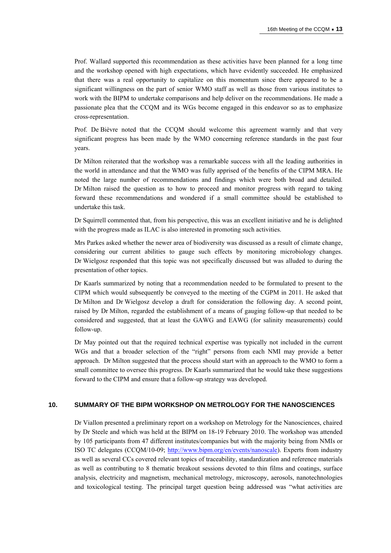Prof. Wallard supported this recommendation as these activities have been planned for a long time and the workshop opened with high expectations, which have evidently succeeded. He emphasized that there was a real opportunity to capitalize on this momentum since there appeared to be a significant willingness on the part of senior WMO staff as well as those from various institutes to work with the BIPM to undertake comparisons and help deliver on the recommendations. He made a passionate plea that the CCQM and its WGs become engaged in this endeavor so as to emphasize cross-representation.

Prof. De Bièvre noted that the CCQM should welcome this agreement warmly and that very significant progress has been made by the WMO concerning reference standards in the past four years.

Dr Milton reiterated that the workshop was a remarkable success with all the leading authorities in the world in attendance and that the WMO was fully apprised of the benefits of the CIPM MRA. He noted the large number of recommendations and findings which were both broad and detailed. Dr Milton raised the question as to how to proceed and monitor progress with regard to taking forward these recommendations and wondered if a small committee should be established to undertake this task.

Dr Squirrell commented that, from his perspective, this was an excellent initiative and he is delighted with the progress made as ILAC is also interested in promoting such activities.

Mrs Parkes asked whether the newer area of biodiversity was discussed as a result of climate change, considering our current abilities to gauge such effects by monitoring microbiology changes. Dr Wielgosz responded that this topic was not specifically discussed but was alluded to during the presentation of other topics.

Dr Kaarls summarized by noting that a recommendation needed to be formulated to present to the CIPM which would subsequently be conveyed to the meeting of the CGPM in 2011. He asked that Dr Milton and Dr Wielgosz develop a draft for consideration the following day. A second point, raised by Dr Milton, regarded the establishment of a means of gauging follow-up that needed to be considered and suggested, that at least the GAWG and EAWG (for salinity measurements) could follow-up.

Dr May pointed out that the required technical expertise was typically not included in the current WGs and that a broader selection of the "right" persons from each NMI may provide a better approach. Dr Milton suggested that the process should start with an approach to the WMO to form a small committee to oversee this progress. Dr Kaarls summarized that he would take these suggestions forward to the CIPM and ensure that a follow-up strategy was developed.

#### **10. SUMMARY OF THE BIPM WORKSHOP ON METROLOGY FOR THE NANOSCIENCES**

Dr Viallon presented a preliminary report on a workshop on Metrology for the Nanosciences, chaired by Dr Steele and which was held at the BIPM on 18-19 February 2010. The workshop was attended by 105 participants from 47 different institutes/companies but with the majority being from NMIs or ISO TC delegates (CCQM/10-09; <http://www.bipm.org/en/events/nanoscale>). Experts from industry as well as several CCs covered relevant topics of traceability, standardization and reference materials as well as contributing to 8 thematic breakout sessions devoted to thin films and coatings, surface analysis, electricity and magnetism, mechanical metrology, microscopy, aerosols, nanotechnologies and toxicological testing. The principal target question being addressed was "what activities are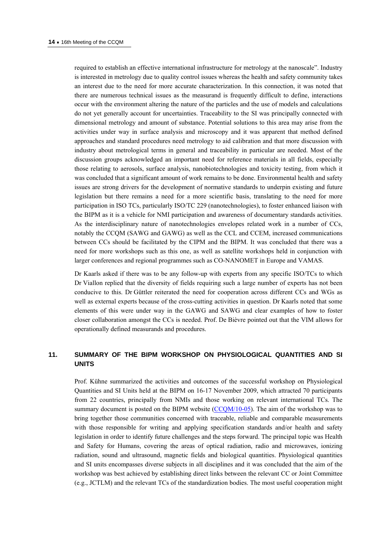required to establish an effective international infrastructure for metrology at the nanoscale". Industry is interested in metrology due to quality control issues whereas the health and safety community takes an interest due to the need for more accurate characterization. In this connection, it was noted that there are numerous technical issues as the measurand is frequently difficult to define, interactions occur with the environment altering the nature of the particles and the use of models and calculations do not yet generally account for uncertainties. Traceability to the SI was principally connected with dimensional metrology and amount of substance. Potential solutions to this area may arise from the activities under way in surface analysis and microscopy and it was apparent that method defined approaches and standard procedures need metrology to aid calibration and that more discussion with industry about metrological terms in general and traceability in particular are needed. Most of the discussion groups acknowledged an important need for reference materials in all fields, especially those relating to aerosols, surface analysis, nanobiotechnologies and toxicity testing, from which it was concluded that a significant amount of work remains to be done. Environmental health and safety issues are strong drivers for the development of normative standards to underpin existing and future legislation but there remains a need for a more scientific basis, translating to the need for more participation in ISO TCs, particularly ISO/TC 229 (nanotechnologies), to foster enhanced liaison with the BIPM as it is a vehicle for NMI participation and awareness of documentary standards activities. As the interdisciplinary nature of nanotechnologies envelopes related work in a number of CCs, notably the CCQM (SAWG and GAWG) as well as the CCL and CCEM, increased communications between CCs should be facilitated by the CIPM and the BIPM. It was concluded that there was a need for more workshops such as this one, as well as satellite workshops held in conjunction with larger conferences and regional programmes such as CO-NANOMET in Europe and VAMAS.

Dr Kaarls asked if there was to be any follow-up with experts from any specific ISO/TCs to which Dr Viallon replied that the diversity of fields requiring such a large number of experts has not been conducive to this. Dr Güttler reiterated the need for cooperation across different CCs and WGs as well as external experts because of the cross-cutting activities in question. Dr Kaarls noted that some elements of this were under way in the GAWG and SAWG and clear examples of how to foster closer collaboration amongst the CCs is needed. Prof. De Bièvre pointed out that the VIM allows for operationally defined measurands and procedures.

## **11. SUMMARY OF THE BIPM WORKSHOP ON PHYSIOLOGICAL QUANTITIES AND SI UNITS**

Prof. Kühne summarized the activities and outcomes of the successful workshop on Physiological Quantities and SI Units held at the BIPM on 16-17 November 2009, which attracted 70 participants from 22 countries, principally from NMIs and those working on relevant international TCs. The summary document is posted on the BIPM website (CCOM/10-05). The aim of the workshop was to bring together those communities concerned with traceable, reliable and comparable measurements with those responsible for writing and applying specification standards and/or health and safety legislation in order to identify future challenges and the steps forward. The principal topic was Health and Safety for Humans, covering the areas of optical radiation, radio and microwaves, ionizing radiation, sound and ultrasound, magnetic fields and biological quantities. Physiological quantities and SI units encompasses diverse subjects in all disciplines and it was concluded that the aim of the workshop was best achieved by establishing direct links between the relevant CC or Joint Committee (e.g., JCTLM) and the relevant TCs of the standardization bodies. The most useful cooperation might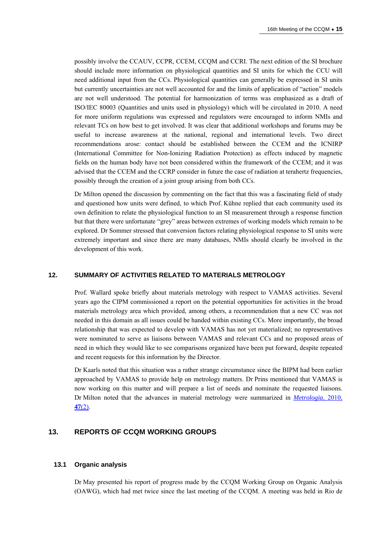possibly involve the CCAUV, CCPR, CCEM, CCQM and CCRI. The next edition of the SI brochure should include more information on physiological quantities and SI units for which the CCU will need additional input from the CCs. Physiological quantities can generally be expressed in SI units but currently uncertainties are not well accounted for and the limits of application of "action" models are not well understood. The potential for harmonization of terms was emphasized as a draft of ISO/IEC 80003 (Quantities and units used in physiology) which will be circulated in 2010. A need for more uniform regulations was expressed and regulators were encouraged to inform NMIs and relevant TCs on how best to get involved. It was clear that additional workshops and forums may be useful to increase awareness at the national, regional and international levels. Two direct recommendations arose: contact should be established between the CCEM and the ICNIRP (International Committee for Non-Ionizing Radiation Protection) as effects induced by magnetic fields on the human body have not been considered within the framework of the CCEM; and it was advised that the CCEM and the CCRP consider in future the case of radiation at terahertz frequencies, possibly through the creation of a joint group arising from both CCs.

Dr Milton opened the discussion by commenting on the fact that this was a fascinating field of study and questioned how units were defined, to which Prof. Kühne replied that each community used its own definition to relate the physiological function to an SI measurement through a response function but that there were unfortunate "grey" areas between extremes of working models which remain to be explored. Dr Sommer stressed that conversion factors relating physiological response to SI units were extremely important and since there are many databases, NMIs should clearly be involved in the development of this work.

#### **12. SUMMARY OF ACTIVITIES RELATED TO MATERIALS METROLOGY**

Prof. Wallard spoke briefly about materials metrology with respect to VAMAS activities. Several years ago the CIPM commissioned a report on the potential opportunities for activities in the broad materials metrology area which provided, among others, a recommendation that a new CC was not needed in this domain as all issues could be handed within existing CCs. More importantly, the broad relationship that was expected to develop with VAMAS has not yet materialized; no representatives were nominated to serve as liaisons between VAMAS and relevant CCs and no proposed areas of need in which they would like to see comparisons organized have been put forward, despite repeated and recent requests for this information by the Director.

Dr Kaarls noted that this situation was a rather strange circumstance since the BIPM had been earlier approached by VAMAS to provide help on metrology matters. Dr Prins mentioned that VAMAS is now working on this matter and will prepare a list of needs and nominate the requested liaisons. Dr Milton noted that the advances in material metrology were summarized in *[Metrologia](http://stacks.iop.org/0026-1394/47/S01)*, 2010, **47**[\(2\)](http://stacks.iop.org/0026-1394/47/S01).

### **13. REPORTS OF CCQM WORKING GROUPS**

#### **13.1 Organic analysis**

Dr May presented his report of progress made by the CCQM Working Group on Organic Analysis (OAWG), which had met twice since the last meeting of the CCQM. A meeting was held in Rio de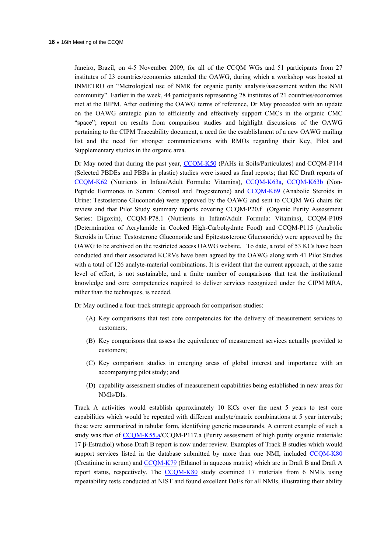Janeiro, Brazil, on 4-5 November 2009, for all of the CCQM WGs and 51 participants from 27 institutes of 23 countries/economies attended the OAWG, during which a workshop was hosted at INMETRO on "Metrological use of NMR for organic purity analysis/assessment within the NMI community". Earlier in the week, 44 participants representing 28 institutes of 21 countries/economies met at the BIPM. After outlining the OAWG terms of reference, Dr May proceeded with an update on the OAWG strategic plan to efficiently and effectively support CMCs in the organic CMC "space"; report on results from comparison studies and highlight discussions of the OAWG pertaining to the CIPM Traceability document, a need for the establishment of a new OAWG mailing list and the need for stronger communications with RMOs regarding their Key, Pilot and Supplementary studies in the organic area.

Dr May noted that during the past year, [CCQM-K50](http://kcdb.bipm.org/AppendixB/KCDB_ApB_info.asp?cmp_idy=756&cmp_cod=CCQM%2DK50&page=) (PAHs in Soils/Particulates) and CCQM-P114 (Selected PBDEs and PBBs in plastic) studies were issued as final reports; that KC Draft reports of [CCQM-K62](http://kcdb.bipm.org/AppendixB/KCDB_ApB_info.asp?cmp_idy=825&cmp_cod=CCQM%2DK62&page=) (Nutrients in Infant/Adult Formula: Vitamins), [CCQM-K63a,](http://kcdb.bipm.org/AppendixB/KCDB_ApB_info.asp?cmp_idy=826&cmp_cod=CCQM%2DK63%2Ea&page=) [CCQM-K63b](http://kcdb.bipm.org/AppendixB/KCDB_ApB_info.asp?cmp_idy=827&cmp_cod=CCQM%2DK63%2Eb&page=) (Non-Peptide Hormones in Serum: Cortisol and Progesterone) and [CCQM-K69](http://kcdb.bipm.org/AppendixB/KCDB_ApB_search_result.asp?search=2&cmp_cod_search=CCQM-K69&match_exact=0) (Anabolic Steroids in Urine: Testosterone Gluconoride) were approved by the OAWG and sent to CCQM WG chairs for review and that Pilot Study summary reports covering CCQM-P20.f (Organic Purity Assessment Series: Digoxin), CCQM-P78.1 (Nutrients in Infant/Adult Formula: Vitamins), CCQM-P109 (Determination of Acrylamide in Cooked High-Carbohydrate Food) and CCQM-P115 (Anabolic Steroids in Urine: Testosterone Gluconoride and Epitestosterone Gluconoride) were approved by the OAWG to be archived on the restricted access OAWG website. To date, a total of 53 KCs have been conducted and their associated KCRVs have been agreed by the OAWG along with 41 Pilot Studies with a total of 126 analyte-material combinations. It is evident that the current approach, at the same level of effort, is not sustainable, and a finite number of comparisons that test the institutional knowledge and core competencies required to deliver services recognized under the CIPM MRA, rather than the techniques, is needed.

Dr May outlined a four-track strategic approach for comparison studies:

- (A) Key comparisons that test core competencies for the delivery of measurement services to customers;
- (B) Key comparisons that assess the equivalence of measurement services actually provided to customers;
- (C) Key comparison studies in emerging areas of global interest and importance with an accompanying pilot study; and
- (D) capability assessment studies of measurement capabilities being established in new areas for NMIs/DIs.

Track A activities would establish approximately 10 KCs over the next 5 years to test core capabilities which would be repeated with different analyte/matrix combinations at 5 year intervals; these were summarized in tabular form, identifying generic measurands. A current example of such a study was that of [CCQM-K55.a](http://kcdb.bipm.org/AppendixB/KCDB_ApB_search_result.asp?search=2&cmp_cod_search=CCQM-K55.a&match_exact=0)/CCQM-P117.a (Purity assessment of high purity organic materials: 17 β-Estradiol) whose Draft B report is now under review. Examples of Track B studies which would support services listed in the database submitted by more than one NMI, included [CCQM-K80](http://kcdb.bipm.org/AppendixB/KCDB_ApB_search_result.asp?search=2&cmp_cod_search=CCQM-K80&match_exact=0) (Creatinine in serum) and [CCQM-K79](http://kcdb.bipm.org/AppendixB/KCDB_ApB_search_result.asp?search=2&cmp_cod_search=CCQM-K79&match_exact=0) (Ethanol in aqueous matrix) which are in Draft B and Draft A report status, respectively. The [CCQM-K80](http://kcdb.bipm.org/AppendixB/KCDB_ApB_search_result.asp?search=2&cmp_cod_search=CCQM-K80&match_exact=0) study examined 17 materials from 6 NMIs using repeatability tests conducted at NIST and found excellent DoEs for all NMIs, illustrating their ability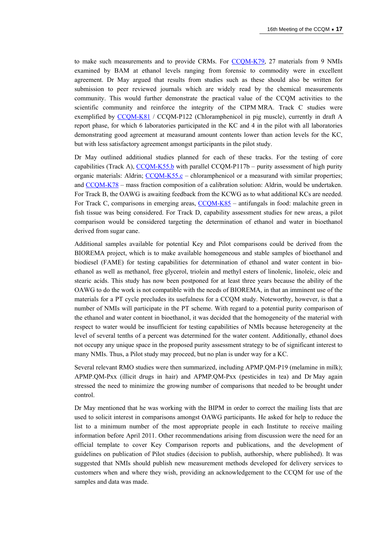to make such measurements and to provide CRMs. For [CCQM-K79,](http://kcdb.bipm.org/AppendixB/KCDB_ApB_search_result.asp?search=2&cmp_cod_search=CCQM-K79&match_exact=0) 27 materials from 9 NMIs examined by BAM at ethanol levels ranging from forensic to commodity were in excellent agreement. Dr May argued that results from studies such as these should also be written for submission to peer reviewed journals which are widely read by the chemical measurements community. This would further demonstrate the practical value of the CCQM activities to the scientific community and reinforce the integrity of the CIPM MRA. Track C studies were exemplified by [CCQM-K81](http://kcdb.bipm.org/AppendixB/KCDB_ApB_search_result.asp?search=2&cmp_cod_search=CCQM-K81&match_exact=0) / CCQM-P122 (Chloramphenicol in pig muscle), currently in draft A report phase, for which 6 laboratories participated in the KC and 4 in the pilot with all laboratories demonstrating good agreement at measurand amount contents lower than action levels for the KC, but with less satisfactory agreement amongst participants in the pilot study.

Dr May outlined additional studies planned for each of these tracks. For the testing of core capabilities (Track A),  $CCOM-K55.b$  with parallel  $CCQM-P117b$  – purity assessment of high purity organic materials: Aldrin;  $CCQM-K55.c CCQM-K55.c -$  chloramphenicol or a measurand with similar properties; and [CCQM-K78](http://kcdb.bipm.org/appendixB/KCDB_ApB_info.asp?cmp_idy=1074&cmp_cod=CCQM%2DK78&page=1&search=2&cmp_cod_search=78&met_idy=&bra_idy=&epo_idy=&cmt_idy=&ett_idy_org=&lab_idy=&cou_cod=) – mass fraction composition of a calibration solution: Aldrin, would be undertaken. For Track B, the OAWG is awaiting feedback from the KCWG as to what additional KCs are needed. For Track C, comparisons in emerging areas, [CCQM-K85](http://kcdb.bipm.org/appendixB/KCDB_ApB_info.asp?cmp_idy=1078&cmp_cod=CCQM%2DK85&page=1&search=2&cmp_cod_search=85&met_idy=&bra_idy=&epo_idy=&cmt_idy=&ett_idy_org=&lab_idy=&cou_cod=) – antifungals in food: malachite green in fish tissue was being considered. For Track D, capability assessment studies for new areas, a pilot comparison would be considered targeting the determination of ethanol and water in bioethanol derived from sugar cane.

Additional samples available for potential Key and Pilot comparisons could be derived from the BIOREMA project, which is to make available homogeneous and stable samples of bioethanol and biodiesel (FAME) for testing capabilities for determination of ethanol and water content in bioethanol as well as methanol, free glycerol, triolein and methyl esters of linolenic, linoleic, oleic and stearic acids. This study has now been postponed for at least three years because the ability of the OAWG to do the work is not compatible with the needs of BIOREMA, in that an imminent use of the materials for a PT cycle precludes its usefulness for a CCQM study. Noteworthy, however, is that a number of NMIs will participate in the PT scheme. With regard to a potential purity comparison of the ethanol and water content in bioethanol, it was decided that the homogeneity of the material with respect to water would be insufficient for testing capabilities of NMIs because heterogeneity at the level of several tenths of a percent was determined for the water content. Additionally, ethanol does not occupy any unique space in the proposed purity assessment strategy to be of significant interest to many NMIs. Thus, a Pilot study may proceed, but no plan is under way for a KC.

Several relevant RMO studies were then summarized, including APMP.QM-P19 (melamine in milk); APMP.QM-Pxx (illicit drugs in hair) and APMP.QM-Pxx (pesticides in tea) and Dr May again stressed the need to minimize the growing number of comparisons that needed to be brought under control.

Dr May mentioned that he was working with the BIPM in order to correct the mailing lists that are used to solicit interest in comparisons amongst OAWG participants. He asked for help to reduce the list to a minimum number of the most appropriate people in each Institute to receive mailing information before April 2011. Other recommendations arising from discussion were the need for an official template to cover Key Comparison reports and publications, and the development of guidelines on publication of Pilot studies (decision to publish, authorship, where published). It was suggested that NMIs should publish new measurement methods developed for delivery services to customers when and where they wish, providing an acknowledgement to the CCQM for use of the samples and data was made.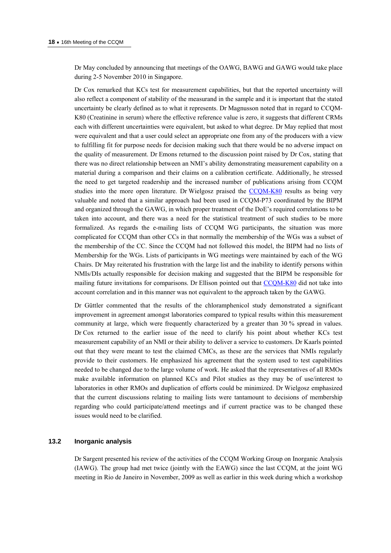Dr May concluded by announcing that meetings of the OAWG, BAWG and GAWG would take place during 2-5 November 2010 in Singapore.

Dr Cox remarked that KCs test for measurement capabilities, but that the reported uncertainty will also reflect a component of stability of the measurand in the sample and it is important that the stated uncertainty be clearly defined as to what it represents. Dr Magnusson noted that in regard to CCQM-K80 (Creatinine in serum) where the effective reference value is zero, it suggests that different CRMs each with different uncertainties were equivalent, but asked to what degree. Dr May replied that most were equivalent and that a user could select an appropriate one from any of the producers with a view to fulfilling fit for purpose needs for decision making such that there would be no adverse impact on the quality of measurement. Dr Emons returned to the discussion point raised by Dr Cox, stating that there was no direct relationship between an NMI's ability demonstrating measurement capability on a material during a comparison and their claims on a calibration certificate. Additionally, he stressed the need to get targeted readership and the increased number of publications arising from CCQM studies into the more open literature. Dr Wielgosz praised the [CCQM-K80](http://kcdb.bipm.org/AppendixB/KCDB_ApB_search_result.asp?search=2&cmp_cod_search=CCQM-K80&match_exact=0) results as being very valuable and noted that a similar approach had been used in CCQM-P73 coordinated by the BIPM and organized through the GAWG, in which proper treatment of the DoE's required correlations to be taken into account, and there was a need for the statistical treatment of such studies to be more formalized. As regards the e-mailing lists of CCQM WG participants, the situation was more complicated for CCQM than other CCs in that normally the membership of the WGs was a subset of the membership of the CC. Since the CCQM had not followed this model, the BIPM had no lists of Membership for the WGs. Lists of participants in WG meetings were maintained by each of the WG Chairs. Dr May reiterated his frustration with the large list and the inability to identify persons within NMIs/DIs actually responsible for decision making and suggested that the BIPM be responsible for mailing future invitations for comparisons. Dr Ellison pointed out that [CCQM-K80](http://kcdb.bipm.org/AppendixB/KCDB_ApB_search_result.asp?search=2&cmp_cod_search=CCQM-K80&match_exact=0) did not take into account correlation and in this manner was not equivalent to the approach taken by the GAWG.

Dr Güttler commented that the results of the chloramphenicol study demonstrated a significant improvement in agreement amongst laboratories compared to typical results within this measurement community at large, which were frequently characterized by a greater than 30 % spread in values. Dr Cox returned to the earlier issue of the need to clarify his point about whether KCs test measurement capability of an NMI or their ability to deliver a service to customers. Dr Kaarls pointed out that they were meant to test the claimed CMCs, as these are the services that NMIs regularly provide to their customers. He emphasized his agreement that the system used to test capabilities needed to be changed due to the large volume of work. He asked that the representatives of all RMOs make available information on planned KCs and Pilot studies as they may be of use/interest to laboratories in other RMOs and duplication of efforts could be minimized. Dr Wielgosz emphasized that the current discussions relating to mailing lists were tantamount to decisions of membership regarding who could participate/attend meetings and if current practice was to be changed these issues would need to be clarified.

## **13.2 Inorganic analysis**

Dr Sargent presented his review of the activities of the CCQM Working Group on Inorganic Analysis (IAWG). The group had met twice (jointly with the EAWG) since the last CCQM, at the joint WG meeting in Rio de Janeiro in November, 2009 as well as earlier in this week during which a workshop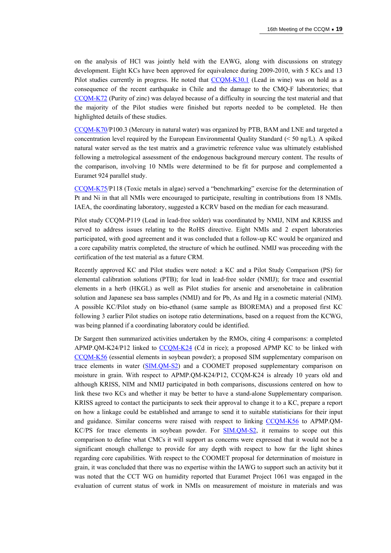on the analysis of HCl was jointly held with the EAWG, along with discussions on strategy development. Eight KCs have been approved for equivalence during 2009-2010, with 5 KCs and 13 Pilot studies currently in progress. He noted that [CCQM-K30.1](http://kcdb.bipm.org/appendixB/KCDB_ApB_info.asp?cmp_idy=1070&cmp_cod=CCQM%2DK30%2E1&page=1&search=2&cmp_cod_search=30&met_idy=&bra_idy=&epo_idy=&cmt_idy=&ett_idy_org=&lab_idy=&cou_cod=) (Lead in wine) was on hold as a consequence of the recent earthquake in Chile and the damage to the CMQ-F laboratories; that [CCQM-K72](http://kcdb.bipm.org/appendixB/KCDB_ApB_info.asp?cmp_idy=969&cmp_cod=CCQM%2DK72&page=1&search=2&cmp_cod_search=72&met_idy=&bra_idy=&epo_idy=&cmt_idy=&ett_idy_org=&lab_idy=&cou_cod=) (Purity of zinc) was delayed because of a difficulty in sourcing the test material and that the majority of the Pilot studies were finished but reports needed to be completed. He then highlighted details of these studies.

[CCQM-K70](http://kcdb.bipm.org/AppendixB/KCDB_ApB_search_result.asp?search=2&cmp_cod_search=CCQM-K70&match_exact=0)/P100.3 (Mercury in natural water) was organized by PTB, BAM and LNE and targeted a concentration level required by the European Environmental Quality Standard (< 50 ng/L). A spiked natural water served as the test matrix and a gravimetric reference value was ultimately established following a metrological assessment of the endogenous background mercury content. The results of the comparison, involving 10 NMIs were determined to be fit for purpose and complemented a Euramet 924 parallel study.

[CCQM-K75](http://kcdb.bipm.org/AppendixB/KCDB_ApB_search_result.asp?search=2&cmp_cod_search=CCQM-K75&match_exact=0)/P118 (Toxic metals in algae) served a "benchmarking" exercise for the determination of Pt and Ni in that all NMIs were encouraged to participate, resulting in contributions from 18 NMIs. IAEA, the coordinating laboratory, suggested a KCRV based on the median for each measurand.

Pilot study CCQM-P119 (Lead in lead-free solder) was coordinated by NMIJ, NIM and KRISS and served to address issues relating to the RoHS directive. Eight NMIs and 2 expert laboratories participated, with good agreement and it was concluded that a follow-up KC would be organized and a core capability matrix completed, the structure of which he outlined. NMIJ was proceeding with the certification of the test material as a future CRM.

Recently approved KC and Pilot studies were noted: a KC and a Pilot Study Comparison (PS) for elemental calibration solutions (PTB); for lead in lead-free solder (NMIJ); for trace and essential elements in a herb (HKGL) as well as Pilot studies for arsenic and arsenobetaine in calibration solution and Japanese sea bass samples (NMIJ) and for Pb, As and Hg in a cosmetic material (NIM). A possible KC/Pilot study on bio-ethanol (same sample as BIOREMA) and a proposed first KC following 3 earlier Pilot studies on isotope ratio determinations, based on a request from the KCWG, was being planned if a coordinating laboratory could be identified.

Dr Sargent then summarized activities undertaken by the RMOs, citing 4 comparisons: a completed APMP.QM-K24/P12 linked to [CCQM-K24](http://kcdb.bipm.org/appendixB/KCDB_ApB_info.asp?cmp_idy=175&cmp_cod=CCQM%2DK24&page=2&search=2&cmp_cod_search=24&met_idy=&bra_idy=&epo_idy=&cmt_idy=&ett_idy_org=&lab_idy=&cou_cod=) (Cd in rice); a proposed APMP KC to be linked with [CCQM-K56](http://kcdb.bipm.org/appendixB/KCDB_ApB_info.asp?cmp_idy=832&cmp_cod=CCQM%2DK56&page=1&search=2&cmp_cod_search=56&met_idy=&bra_idy=&epo_idy=&cmt_idy=&ett_idy_org=&lab_idy=&cou_cod=) (essential elements in soybean powder); a proposed SIM supplementary comparison on trace elements in water ([SIM.QM-S2](http://kcdb.bipm.org/AppendixB/KCDB_ApB_search_result.asp?search=2&cmp_cod_search=SIM.QM-S2&match_exact=0)) and a COOMET proposed supplementary comparison on moisture in grain. With respect to APMP.QM-K24/P12, CCQM-K24 is already 10 years old and although KRISS, NIM and NMIJ participated in both comparisons, discussions centered on how to link these two KCs and whether it may be better to have a stand-alone Supplementary comparison. KRISS agreed to contact the participants to seek their approval to change it to a KC, prepare a report on how a linkage could be established and arrange to send it to suitable statisticians for their input and guidance. Similar concerns were raised with respect to linking [CCQM-K56](http://kcdb.bipm.org/appendixB/KCDB_ApB_info.asp?cmp_idy=832&cmp_cod=CCQM%2DK56&page=1&search=2&cmp_cod_search=56&met_idy=&bra_idy=&epo_idy=&cmt_idy=&ett_idy_org=&lab_idy=&cou_cod=) to APMP.QM-KC/PS for trace elements in soybean powder. For [SIM.QM-S2](http://kcdb.bipm.org/appendixB/KCDB_ApB_info.asp?cmp_idy=1041&cmp_cod=SIM%2EQM%2DS2&page=11&search=2&cmp_cod_search=S2&met_idy=&bra_idy=&epo_idy=&cmt_idy=&ett_idy_org=&lab_idy=&cou_cod=), it remains to scope out this comparison to define what CMCs it will support as concerns were expressed that it would not be a significant enough challenge to provide for any depth with respect to how far the light shines regarding core capabilities. With respect to the COOMET proposal for determination of moisture in grain, it was concluded that there was no expertise within the IAWG to support such an activity but it was noted that the CCT WG on humidity reported that Euramet Project 1061 was engaged in the evaluation of current status of work in NMIs on measurement of moisture in materials and was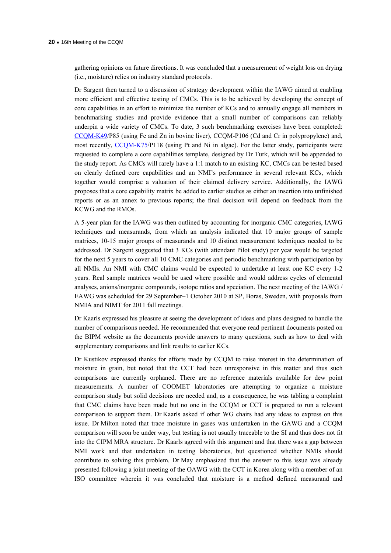gathering opinions on future directions. It was concluded that a measurement of weight loss on drying (i.e., moisture) relies on industry standard protocols.

Dr Sargent then turned to a discussion of strategy development within the IAWG aimed at enabling more efficient and effective testing of CMCs. This is to be achieved by developing the concept of core capabilities in an effort to minimize the number of KCs and to annually engage all members in benchmarking studies and provide evidence that a small number of comparisons can reliably underpin a wide variety of CMCs. To date, 3 such benchmarking exercises have been completed: [CCQM-K49](http://kcdb.bipm.org/AppendixB/KCDB_ApB_search_result.asp?search=2&cmp_cod_search=CCQM-K49&match_exact=0)/P85 (using Fe and Zn in bovine liver), CCQM-P106 (Cd and Cr in polypropylene) and, most recently, [CCQM-K75/](http://kcdb.bipm.org/AppendixB/KCDB_ApB_search_result.asp?search=2&cmp_cod_search=CCQM-K75&match_exact=0)P118 (using Pt and Ni in algae). For the latter study, participants were requested to complete a core capabilities template, designed by Dr Turk, which will be appended to the study report. As CMCs will rarely have a 1:1 match to an existing KC, CMCs can be tested based on clearly defined core capabilities and an NMI's performance in several relevant KCs, which together would comprise a valuation of their claimed delivery service. Additionally, the IAWG proposes that a core capability matrix be added to earlier studies as either an insertion into unfinished reports or as an annex to previous reports; the final decision will depend on feedback from the KCWG and the RMOs.

A 5-year plan for the IAWG was then outlined by accounting for inorganic CMC categories, IAWG techniques and measurands, from which an analysis indicated that 10 major groups of sample matrices, 10-15 major groups of measurands and 10 distinct measurement techniques needed to be addressed. Dr Sargent suggested that 3 KCs (with attendant Pilot study) per year would be targeted for the next 5 years to cover all 10 CMC categories and periodic benchmarking with participation by all NMIs. An NMI with CMC claims would be expected to undertake at least one KC every 1-2 years. Real sample matrices would be used where possible and would address cycles of elemental analyses, anions/inorganic compounds, isotope ratios and speciation. The next meeting of the IAWG / EAWG was scheduled for 29 September–1 October 2010 at SP, Boras, Sweden, with proposals from NMIA and NIMT for 2011 fall meetings.

Dr Kaarls expressed his pleasure at seeing the development of ideas and plans designed to handle the number of comparisons needed. He recommended that everyone read pertinent documents posted on the BIPM website as the documents provide answers to many questions, such as how to deal with supplementary comparisons and link results to earlier KCs.

Dr Kustikov expressed thanks for efforts made by CCQM to raise interest in the determination of moisture in grain, but noted that the CCT had been unresponsive in this matter and thus such comparisons are currently orphaned. There are no reference materials available for dew point measurements. A number of COOMET laboratories are attempting to organize a moisture comparison study but solid decisions are needed and, as a consequence, he was tabling a complaint that CMC claims have been made but no one in the CCQM or CCT is prepared to run a relevant comparison to support them. Dr Kaarls asked if other WG chairs had any ideas to express on this issue. Dr Milton noted that trace moisture in gases was undertaken in the GAWG and a CCQM comparison will soon be under way, but testing is not usually traceable to the SI and thus does not fit into the CIPM MRA structure. Dr Kaarls agreed with this argument and that there was a gap between NMI work and that undertaken in testing laboratories, but questioned whether NMIs should contribute to solving this problem. Dr May emphasized that the answer to this issue was already presented following a joint meeting of the OAWG with the CCT in Korea along with a member of an ISO committee wherein it was concluded that moisture is a method defined measurand and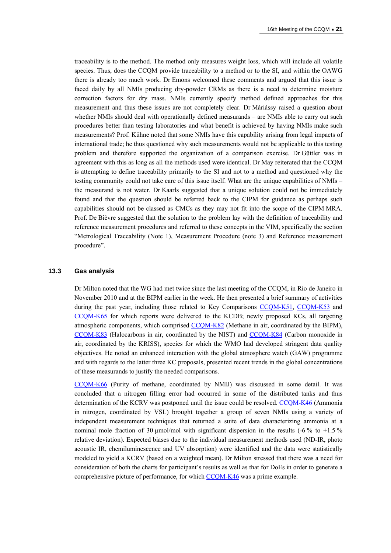traceability is to the method. The method only measures weight loss, which will include all volatile species. Thus, does the CCQM provide traceability to a method or to the SI, and within the OAWG there is already too much work. Dr Emons welcomed these comments and argued that this issue is faced daily by all NMIs producing dry-powder CRMs as there is a need to determine moisture correction factors for dry mass. NMIs currently specify method defined approaches for this measurement and thus these issues are not completely clear. Dr Máriássy raised a question about whether NMIs should deal with operationally defined measurands – are NMIs able to carry out such procedures better than testing laboratories and what benefit is achieved by having NMIs make such measurements? Prof. Kühne noted that some NMIs have this capability arising from legal impacts of international trade; he thus questioned why such measurements would not be applicable to this testing problem and therefore supported the organization of a comparison exercise. Dr Güttler was in agreement with this as long as all the methods used were identical. Dr May reiterated that the CCQM is attempting to define traceability primarily to the SI and not to a method and questioned why the testing community could not take care of this issue itself. What are the unique capabilities of NMIs – the measurand is not water. Dr Kaarls suggested that a unique solution could not be immediately found and that the question should be referred back to the CIPM for guidance as perhaps such capabilities should not be classed as CMCs as they may not fit into the scope of the CIPM MRA. Prof. De Bièvre suggested that the solution to the problem lay with the definition of traceability and reference measurement procedures and referred to these concepts in the VIM, specifically the section "Metrological Traceability (Note 1), Measurement Procedure (note 3) and Reference measurement procedure".

#### **13.3 Gas analysis**

Dr Milton noted that the WG had met twice since the last meeting of the CCQM, in Rio de Janeiro in November 2010 and at the BIPM earlier in the week. He then presented a brief summary of activities during the past year, including those related to Key Comparisons CCOM-K51, CCOM-K53 and [CCQM-K65](http://kcdb.bipm.org/appendixB/KCDB_ApB_info.asp?cmp_idy=894&cmp_cod=CCQM%2DK65&page=1&search=2&cmp_cod_search=65&met_idy=&bra_idy=&epo_idy=&cmt_idy=&ett_idy_org=&lab_idy=&cou_cod=) for which reports were delivered to the KCDB; newly proposed KCs, all targeting atmospheric components, which comprised [CCQM-K82](http://kcdb.bipm.org/AppendixB/KCDB_ApB_info.asp?cmp_idy=1062&cmp_cod=CCQM%2DK82&page=1&search=2&cmp_cod_search=k82&met_idy=&bra_idy=&epo_idy=&cmt_idy=&ett_idy_org=&lab_idy=&cou_cod=) (Methane in air, coordinated by the BIPM), [CCQM-K83](http://kcdb.bipm.org/appendixB/KCDB_ApB_info.asp?cmp_idy=1063&cmp_cod=CCQM-K83&prov=exalead) (Halocarbons in air, coordinated by the NIST) and [CCQM-K84](http://kcdb.bipm.org/appendixB/KCDB_ApB_info.asp?cmp_idy=1064&cmp_cod=CCQM-K84&prov=exalead) (Carbon monoxide in air, coordinated by the KRISS), species for which the WMO had developed stringent data quality objectives. He noted an enhanced interaction with the global atmosphere watch (GAW) programme and with regards to the latter three KC proposals, presented recent trends in the global concentrations of these measurands to justify the needed comparisons.

[CCQM-K66](http://kcdb.bipm.org/appendixB/KCDB_ApB_info.asp?cmp_idy=895&cmp_cod=CCQM%2DK66&page=1&search=2&cmp_cod_search=66&met_idy=&bra_idy=&epo_idy=&cmt_idy=&ett_idy_org=&lab_idy=&cou_cod=) (Purity of methane, coordinated by NMIJ) was discussed in some detail. It was concluded that a nitrogen filling error had occurred in some of the distributed tanks and thus determination of the KCRV was postponed until the issue could be resolved. [CCQM-K46](http://kcdb.bipm.org/appendixB/KCDB_ApB_info.asp?cmp_idy=692&cmp_cod=CCQM%2DK46&page=1&search=2&cmp_cod_search=46&met_idy=&bra_idy=&epo_idy=&cmt_idy=&ett_idy_org=&lab_idy=&cou_cod=) (Ammonia in nitrogen, coordinated by VSL) brought together a group of seven NMIs using a variety of independent measurement techniques that returned a suite of data characterizing ammonia at a nominal mole fraction of 30  $\mu$ mol/mol with significant dispersion in the results (-6 % to +1.5 % relative deviation). Expected biases due to the individual measurement methods used (ND-IR, photo acoustic IR, chemiluminescence and UV absorption) were identified and the data were statistically modeled to yield a KCRV (based on a weighted mean). Dr Milton stressed that there was a need for consideration of both the charts for participant's results as well as that for DoEs in order to generate a comprehensive picture of performance, for which [CCQM-K46](http://kcdb.bipm.org/appendixB/KCDB_ApB_info.asp?cmp_idy=692&cmp_cod=CCQM%2DK46&page=1&search=2&cmp_cod_search=46&met_idy=&bra_idy=&epo_idy=&cmt_idy=&ett_idy_org=&lab_idy=&cou_cod=) was a prime example.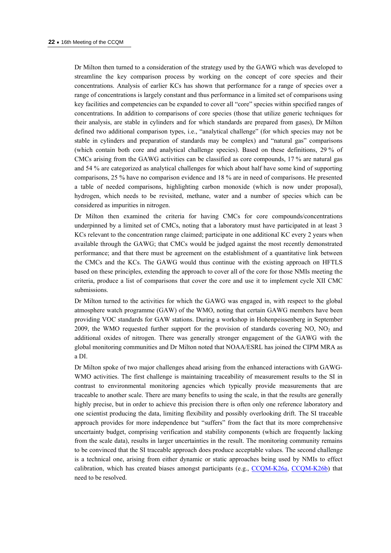Dr Milton then turned to a consideration of the strategy used by the GAWG which was developed to streamline the key comparison process by working on the concept of core species and their concentrations. Analysis of earlier KCs has shown that performance for a range of species over a range of concentrations is largely constant and thus performance in a limited set of comparisons using key facilities and competencies can be expanded to cover all "core" species within specified ranges of concentrations. In addition to comparisons of core species (those that utilize generic techniques for their analysis, are stable in cylinders and for which standards are prepared from gases), Dr Milton defined two additional comparison types, i.e., "analytical challenge" (for which species may not be stable in cylinders and preparation of standards may be complex) and "natural gas" comparisons (which contain both core and analytical challenge species). Based on these definitions, 29 % of CMCs arising from the GAWG activities can be classified as core compounds, 17 % are natural gas and 54 % are categorized as analytical challenges for which about half have some kind of supporting comparisons, 25 % have no comparison evidence and 18 % are in need of comparisons. He presented a table of needed comparisons, highlighting carbon monoxide (which is now under proposal), hydrogen, which needs to be revisited, methane, water and a number of species which can be considered as impurities in nitrogen.

Dr Milton then examined the criteria for having CMCs for core compounds/concentrations underpinned by a limited set of CMCs, noting that a laboratory must have participated in at least 3 KCs relevant to the concentration range claimed; participate in one additional KC every 2 years when available through the GAWG; that CMCs would be judged against the most recently demonstrated performance; and that there must be agreement on the establishment of a quantitative link between the CMCs and the KCs. The GAWG would thus continue with the existing approach on HFTLS based on these principles, extending the approach to cover all of the core for those NMIs meeting the criteria, produce a list of comparisons that cover the core and use it to implement cycle XII CMC submissions.

Dr Milton turned to the activities for which the GAWG was engaged in, with respect to the global atmosphere watch programme (GAW) of the WMO, noting that certain GAWG members have been providing VOC standards for GAW stations. During a workshop in Hohenpeissenberg in September 2009, the WMO requested further support for the provision of standards covering  $NO$ ,  $NO<sub>2</sub>$  and additional oxides of nitrogen. There was generally stronger engagement of the GAWG with the global monitoring communities and Dr Milton noted that NOAA/ESRL has joined the CIPM MRA as a DI.

Dr Milton spoke of two major challenges ahead arising from the enhanced interactions with GAWG-WMO activities. The first challenge is maintaining traceability of measurement results to the SI in contrast to environmental monitoring agencies which typically provide measurements that are traceable to another scale. There are many benefits to using the scale, in that the results are generally highly precise, but in order to achieve this precision there is often only one reference laboratory and one scientist producing the data, limiting flexibility and possibly overlooking drift. The SI traceable approach provides for more independence but "suffers" from the fact that its more comprehensive uncertainty budget, comprising verification and stability components (which are frequently lacking from the scale data), results in larger uncertainties in the result. The monitoring community remains to be convinced that the SI traceable approach does produce acceptable values. The second challenge is a technical one, arising from either dynamic or static approaches being used by NMIs to effect calibration, which has created biases amongst participants (e.g., [CCQM-K26a,](http://kcdb.bipm.org/appendixB/KCDB_ApB_info.asp?cmp_idy=177&cmp_cod=CCQM%2DK26%2Ea&page=1&search=2&cmp_cod_search=26&met_idy=&bra_idy=&epo_idy=&cmt_idy=&ett_idy_org=&lab_idy=&cou_cod=) [CCQM-K26b](http://kcdb.bipm.org/appendixB/KCDB_ApB_info.asp?cmp_idy=178&cmp_cod=CCQM%2DK26%2Eb&page=1&search=2&cmp_cod_search=26&met_idy=&bra_idy=&epo_idy=&cmt_idy=&ett_idy_org=&lab_idy=&cou_cod=)) that need to be resolved.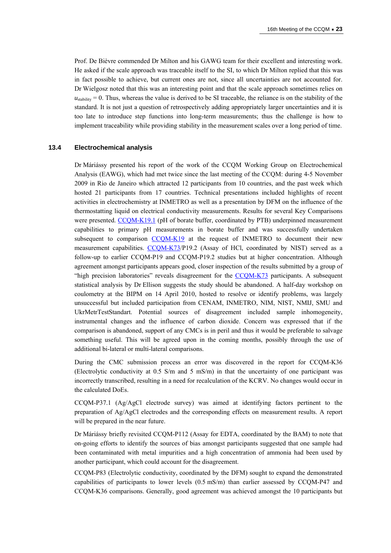Prof. De Bièvre commended Dr Milton and his GAWG team for their excellent and interesting work. He asked if the scale approach was traceable itself to the SI, to which Dr Milton replied that this was in fact possible to achieve, but current ones are not, since all uncertainties are not accounted for. Dr Wielgosz noted that this was an interesting point and that the scale approach sometimes relies on  $u_{\text{stability}} = 0$ . Thus, whereas the value is derived to be SI traceable, the reliance is on the stability of the standard. It is not just a question of retrospectively adding appropriately larger uncertainties and it is too late to introduce step functions into long-term measurements; thus the challenge is how to implement traceability while providing stability in the measurement scales over a long period of time.

#### **13.4 Electrochemical analysis**

Dr Máriássy presented his report of the work of the CCQM Working Group on Electrochemical Analysis (EAWG), which had met twice since the last meeting of the CCQM: during 4-5 November 2009 in Rio de Janeiro which attracted 12 participants from 10 countries, and the past week which hosted 21 participants from 17 countries. Technical presentations included highlights of recent activities in electrochemistry at INMETRO as well as a presentation by DFM on the influence of the thermostatting liquid on electrical conductivity measurements. Results for several Key Comparisons were presented. [CCQM-K19.1](http://kcdb.bipm.org/appendixB/KCDB_ApB_info.asp?cmp_idy=1069&cmp_cod=CCQM%2DK19%2E1&page=1&search=2&cmp_cod_search=K19&met_idy=&bra_idy=&epo_idy=&cmt_idy=&ett_idy_org=&lab_idy=&cou_cod=) (pH of borate buffer, coordinated by PTB) underpinned measurement capabilities to primary pH measurements in borate buffer and was successfully undertaken subsequent to comparison [CCQM-K19](http://kcdb.bipm.org/appendixB/KCDB_ApB_info.asp?cmp_idy=170&cmp_cod=CCQM%2DK19&page=1&search=2&cmp_cod_search=K19&met_idy=&bra_idy=&epo_idy=&cmt_idy=&ett_idy_org=&lab_idy=&cou_cod=) at the request of INMETRO to document their new measurement capabilities. [CCQM-K73/](http://kcdb.bipm.org/appendixB/KCDB_ApB_info.asp?cmp_idy=970&cmp_cod=CCQM%2DK73&page=1&search=2&cmp_cod_search=K73&met_idy=&bra_idy=&epo_idy=&cmt_idy=&ett_idy_org=&lab_idy=&cou_cod=)P19.2 (Assay of HCl, coordinated by NIST) served as a follow-up to earlier CCQM-P19 and CCQM-P19.2 studies but at higher concentration. Although agreement amongst participants appears good, closer inspection of the results submitted by a group of "high precision laboratories" reveals disagreement for the [CCQM-K73](http://kcdb.bipm.org/appendixB/KCDB_ApB_info.asp?cmp_idy=970&cmp_cod=CCQM%2DK73&page=1&search=2&cmp_cod_search=K73&met_idy=&bra_idy=&epo_idy=&cmt_idy=&ett_idy_org=&lab_idy=&cou_cod=) participants. A subsequent statistical analysis by Dr Ellison suggests the study should be abandoned. A half-day workshop on coulometry at the BIPM on 14 April 2010, hosted to resolve or identify problems, was largely unsuccessful but included participation from CENAM, INMETRO, NIM, NIST, NMIJ, SMU and UkrMetrTestStandart. Potential sources of disagreement included sample inhomogeneity, instrumental changes and the influence of carbon dioxide. Concern was expressed that if the comparison is abandoned, support of any CMCs is in peril and thus it would be preferable to salvage something useful. This will be agreed upon in the coming months, possibly through the use of additional bi-lateral or multi-lateral comparisons.

During the CMC submission process an error was discovered in the report for CCQM-K36 (Electrolytic conductivity at 0.5 S/m and 5 mS/m) in that the uncertainty of one participant was incorrectly transcribed, resulting in a need for recalculation of the KCRV. No changes would occur in the calculated DoEs.

CCQM-P37.1 (Ag/AgCl electrode survey) was aimed at identifying factors pertinent to the preparation of Ag/AgCl electrodes and the corresponding effects on measurement results. A report will be prepared in the near future.

Dr Máriássy briefly revisited CCQM-P112 (Assay for EDTA, coordinated by the BAM) to note that on-going efforts to identify the sources of bias amongst participants suggested that one sample had been contaminated with metal impurities and a high concentration of ammonia had been used by another participant, which could account for the disagreement.

CCQM-P83 (Electrolytic conductivity, coordinated by the DFM) sought to expand the demonstrated capabilities of participants to lower levels (0.5 mS/m) than earlier assessed by CCQM-P47 and CCQM-K36 comparisons. Generally, good agreement was achieved amongst the 10 participants but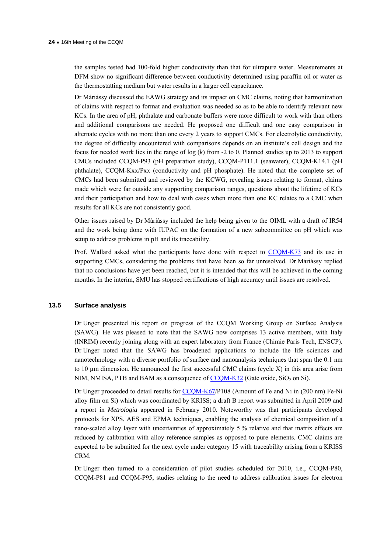the samples tested had 100-fold higher conductivity than that for ultrapure water. Measurements at DFM show no significant difference between conductivity determined using paraffin oil or water as the thermostatting medium but water results in a larger cell capacitance.

Dr Máriássy discussed the EAWG strategy and its impact on CMC claims, noting that harmonization of claims with respect to format and evaluation was needed so as to be able to identify relevant new KCs. In the area of pH, phthalate and carbonate buffers were more difficult to work with than others and additional comparisons are needed. He proposed one difficult and one easy comparison in alternate cycles with no more than one every 2 years to support CMCs. For electrolytic conductivity, the degree of difficulty encountered with comparisons depends on an institute's cell design and the focus for needed work lies in the range of log (*k*) from -2 to 0. Planned studies up to 2013 to support CMCs included CCQM-P93 (pH preparation study), CCQM-P111.1 (seawater), CCQM-K14.1 (pH phthalate), CCQM-Kxx/Pxx (conductivity and pH phosphate). He noted that the complete set of CMCs had been submitted and reviewed by the KCWG, revealing issues relating to format, claims made which were far outside any supporting comparison ranges, questions about the lifetime of KCs and their participation and how to deal with cases when more than one KC relates to a CMC when results for all KCs are not consistently good.

Other issues raised by Dr Máriássy included the help being given to the OIML with a draft of IR54 and the work being done with IUPAC on the formation of a new subcommittee on pH which was setup to address problems in pH and its traceability.

Prof. Wallard asked what the participants have done with respect to [CCQM-K73](http://kcdb.bipm.org/appendixB/KCDB_ApB_info.asp?cmp_idy=970&cmp_cod=CCQM%2DK73&page=1&search=2&cmp_cod_search=K73&met_idy=&bra_idy=&epo_idy=&cmt_idy=&ett_idy_org=&lab_idy=&cou_cod=) and its use in supporting CMCs, considering the problems that have been so far unresolved. Dr Máriássy replied that no conclusions have yet been reached, but it is intended that this will be achieved in the coming months. In the interim, SMU has stopped certifications of high accuracy until issues are resolved.

#### **13.5 Surface analysis**

Dr Unger presented his report on progress of the CCQM Working Group on Surface Analysis (SAWG). He was pleased to note that the SAWG now comprises 13 active members, with Italy (INRIM) recently joining along with an expert laboratory from France (Chimie Paris Tech, ENSCP). Dr Unger noted that the SAWG has broadened applications to include the life sciences and nanotechnology with a diverse portfolio of surface and nanoanalysis techniques that span the 0.1 nm to 10  $\mu$ m dimension. He announced the first successful CMC claims (cycle X) in this area arise from NIM, NMISA, PTB and BAM as a consequence of  $CCQM-K32$  (Gate oxide, SiO<sub>2</sub> on Si).

Dr Unger proceeded to detail results for [CCQM-K67/](http://kcdb.bipm.org/appendixB/KCDB_ApB_info.asp?cmp_idy=917&cmp_cod=CCQM%2DK67&page=1&search=2&cmp_cod_search=K67&met_idy=&bra_idy=&epo_idy=&cmt_idy=&ett_idy_org=&lab_idy=&cou_cod=)P108 (Amount of Fe and Ni in (200 nm) Fe-Ni alloy film on Si) which was coordinated by KRISS; a draft B report was submitted in April 2009 and a report in *Metrologia* appeared in February 2010. Noteworthy was that participants developed protocols for XPS, AES and EPMA techniques, enabling the analysis of chemical composition of a nano-scaled alloy layer with uncertainties of approximately 5 % relative and that matrix effects are reduced by calibration with alloy reference samples as opposed to pure elements. CMC claims are expected to be submitted for the next cycle under category 15 with traceability arising from a KRISS CRM.

Dr Unger then turned to a consideration of pilot studies scheduled for 2010, i.e., CCQM-P80, CCQM-P81 and CCQM-P95, studies relating to the need to address calibration issues for electron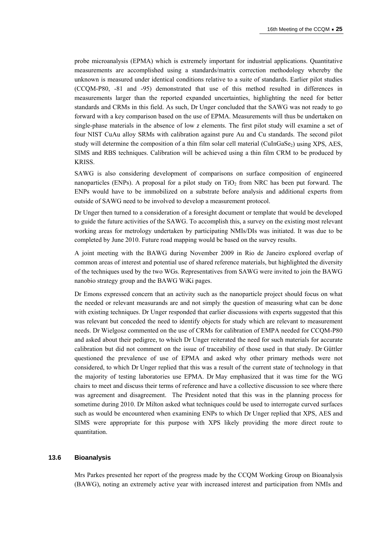probe microanalysis (EPMA) which is extremely important for industrial applications. Quantitative measurements are accomplished using a standards/matrix correction methodology whereby the unknown is measured under identical conditions relative to a suite of standards. Earlier pilot studies (CCQM-P80, -81 and -95) demonstrated that use of this method resulted in differences in measurements larger than the reported expanded uncertainties, highlighting the need for better standards and CRMs in this field. As such, Dr Unger concluded that the SAWG was not ready to go forward with a key comparison based on the use of EPMA. Measurements will thus be undertaken on single-phase materials in the absence of low *z* elements. The first pilot study will examine a set of four NIST CuAu alloy SRMs with calibration against pure Au and Cu standards. The second pilot study will determine the composition of a thin film solar cell material (CuInGaSe $_2$ ) using XPS, AES, SIMS and RBS techniques. Calibration will be achieved using a thin film CRM to be produced by KRISS.

SAWG is also considering development of comparisons on surface composition of engineered nanoparticles (ENPs). A proposal for a pilot study on  $TiO<sub>2</sub>$  from NRC has been put forward. The ENPs would have to be immobilized on a substrate before analysis and additional experts from outside of SAWG need to be involved to develop a measurement protocol.

Dr Unger then turned to a consideration of a foresight document or template that would be developed to guide the future activities of the SAWG. To accomplish this, a survey on the existing most relevant working areas for metrology undertaken by participating NMIs/DIs was initiated. It was due to be completed by June 2010. Future road mapping would be based on the survey results.

A joint meeting with the BAWG during November 2009 in Rio de Janeiro explored overlap of common areas of interest and potential use of shared reference materials, but highlighted the diversity of the techniques used by the two WGs. Representatives from SAWG were invited to join the BAWG nanobio strategy group and the BAWG WiKi pages.

Dr Emons expressed concern that an activity such as the nanoparticle project should focus on what the needed or relevant measurands are and not simply the question of measuring what can be done with existing techniques. Dr Unger responded that earlier discussions with experts suggested that this was relevant but conceded the need to identify objects for study which are relevant to measurement needs. Dr Wielgosz commented on the use of CRMs for calibration of EMPA needed for CCQM-P80 and asked about their pedigree, to which Dr Unger reiterated the need for such materials for accurate calibration but did not comment on the issue of traceability of those used in that study. Dr Güttler questioned the prevalence of use of EPMA and asked why other primary methods were not considered, to which Dr Unger replied that this was a result of the current state of technology in that the majority of testing laboratories use EPMA. Dr May emphasized that it was time for the WG chairs to meet and discuss their terms of reference and have a collective discussion to see where there was agreement and disagreement. The President noted that this was in the planning process for sometime during 2010. Dr Milton asked what techniques could be used to interrogate curved surfaces such as would be encountered when examining ENPs to which Dr Unger replied that XPS, AES and SIMS were appropriate for this purpose with XPS likely providing the more direct route to quantitation.

#### **13.6 Bioanalysis**

Mrs Parkes presented her report of the progress made by the CCQM Working Group on Bioanalysis (BAWG), noting an extremely active year with increased interest and participation from NMIs and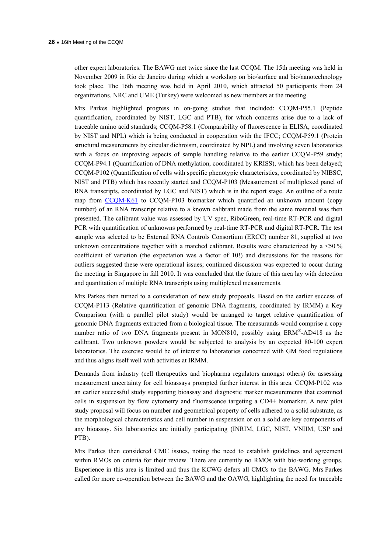other expert laboratories. The BAWG met twice since the last CCQM. The 15th meeting was held in November 2009 in Rio de Janeiro during which a workshop on bio/surface and bio/nanotechnology took place. The 16th meeting was held in April 2010, which attracted 50 participants from 24 organizations. NRC and UME (Turkey) were welcomed as new members at the meeting.

Mrs Parkes highlighted progress in on-going studies that included: CCQM-P55.1 (Peptide quantification, coordinated by NIST, LGC and PTB), for which concerns arise due to a lack of traceable amino acid standards; CCQM-P58.1 (Comparability of fluorescence in ELISA, coordinated by NIST and NPL) which is being conducted in cooperation with the IFCC; CCQM-P59.1 (Protein structural measurements by circular dichroism, coordinated by NPL) and involving seven laboratories with a focus on improving aspects of sample handling relative to the earlier CCQM-P59 study; CCQM-P94.1 (Quantification of DNA methylation, coordinated by KRISS), which has been delayed; CCQM-P102 (Quantification of cells with specific phenotypic characteristics, coordinated by NIBSC, NIST and PTB) which has recently started and CCQM-P103 (Measurement of multiplexed panel of RNA transcripts, coordinated by LGC and NIST) which is in the report stage. An outline of a route map from [CCQM-K61](http://kcdb.bipm.org/appendixB/KCDB_ApB_info.asp?cmp_idy=828&cmp_cod=CCQM%2DK61&page=1&search=2&cmp_cod_search=61&met_idy=&bra_idy=&epo_idy=&cmt_idy=&ett_idy_org=&lab_idy=&cou_cod=) to CCQM-P103 biomarker which quantified an unknown amount (copy number) of an RNA transcript relative to a known calibrant made from the same material was then presented. The calibrant value was assessed by UV spec, RiboGreen, real-time RT-PCR and digital PCR with quantification of unknowns performed by real-time RT-PCR and digital RT-PCR. The test sample was selected to be External RNA Controls Consortium (ERCC) number 81, supplied at two unknown concentrations together with a matched calibrant. Results were characterized by a  $\leq 50\%$ coefficient of variation (the expectation was a factor of 10!) and discussions for the reasons for outliers suggested these were operational issues; continued discussion was expected to occur during the meeting in Singapore in fall 2010. It was concluded that the future of this area lay with detection and quantitation of multiple RNA transcripts using multiplexed measurements.

Mrs Parkes then turned to a consideration of new study proposals. Based on the earlier success of CCQM-P113 (Relative quantification of genomic DNA fragments, coordinated by IRMM) a Key Comparison (with a parallel pilot study) would be arranged to target relative quantification of genomic DNA fragments extracted from a biological tissue. The measurands would comprise a copy number ratio of two DNA fragments present in MON810, possibly using ERM®-AD418 as the calibrant. Two unknown powders would be subjected to analysis by an expected 80-100 expert laboratories. The exercise would be of interest to laboratories concerned with GM food regulations and thus aligns itself well with activities at IRMM.

Demands from industry (cell therapeutics and biopharma regulators amongst others) for assessing measurement uncertainty for cell bioassays prompted further interest in this area. CCQM-P102 was an earlier successful study supporting bioassay and diagnostic marker measurements that examined cells in suspension by flow cytometry and fluorescence targeting a CD4+ biomarker. A new pilot study proposal will focus on number and geometrical property of cells adhered to a solid substrate, as the morphological characteristics and cell number in suspension or on a solid are key components of any bioassay. Six laboratories are initially participating (INRIM, LGC, NIST, VNIIM, USP and PTB).

Mrs Parkes then considered CMC issues, noting the need to establish guidelines and agreement within RMOs on criteria for their review. There are currently no RMOs with bio-working groups. Experience in this area is limited and thus the KCWG defers all CMCs to the BAWG. Mrs Parkes called for more co-operation between the BAWG and the OAWG, highlighting the need for traceable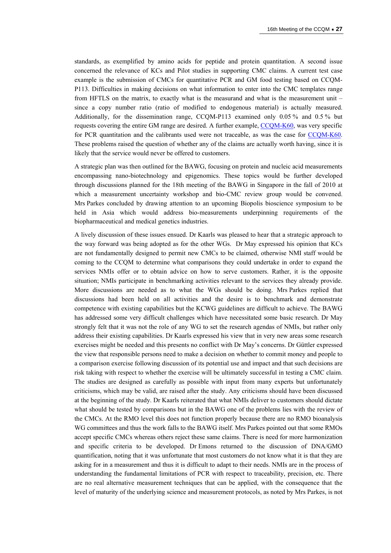standards, as exemplified by amino acids for peptide and protein quantitation. A second issue concerned the relevance of KCs and Pilot studies in supporting CMC claims. A current test case example is the submission of CMCs for quantitative PCR and GM food testing based on CCQM-P113. Difficulties in making decisions on what information to enter into the CMC templates range from HFTLS on the matrix, to exactly what is the measurand and what is the measurement unit – since a copy number ratio (ratio of modified to endogenous material) is actually measured. Additionally, for the dissemination range, CCQM-P113 examined only 0.05 % and 0.5 % but requests covering the entire GM range are desired. A further example, [CCQM-K60,](http://kcdb.bipm.org/appendixB/KCDB_ApB_info.asp?cmp_idy=830&cmp_cod=CCQM%2DK60&page=1&search=2&cmp_cod_search=60&met_idy=&bra_idy=&epo_idy=&cmt_idy=&ett_idy_org=&lab_idy=&cou_cod=) was very specific for PCR quantitation and the calibrants used were not traceable, as was the case for [CCQM-K60](http://kcdb.bipm.org/appendixB/KCDB_ApB_info.asp?cmp_idy=830&cmp_cod=CCQM%2DK60&page=1&search=2&cmp_cod_search=60&met_idy=&bra_idy=&epo_idy=&cmt_idy=&ett_idy_org=&lab_idy=&cou_cod=). These problems raised the question of whether any of the claims are actually worth having, since it is likely that the service would never be offered to customers.

A strategic plan was then outlined for the BAWG, focusing on protein and nucleic acid measurements encompassing nano-biotechnology and epigenomics. These topics would be further developed through discussions planned for the 18th meeting of the BAWG in Singapore in the fall of 2010 at which a measurement uncertainty workshop and bio-CMC review group would be convened. Mrs Parkes concluded by drawing attention to an upcoming Biopolis bioscience symposium to be held in Asia which would address bio-measurements underpinning requirements of the biopharmaceutical and medical genetics industries.

A lively discussion of these issues ensued. Dr Kaarls was pleased to hear that a strategic approach to the way forward was being adopted as for the other WGs. Dr May expressed his opinion that KCs are not fundamentally designed to permit new CMCs to be claimed, otherwise NMI staff would be coming to the CCQM to determine what comparisons they could undertake in order to expand the services NMIs offer or to obtain advice on how to serve customers. Rather, it is the opposite situation; NMIs participate in benchmarking activities relevant to the services they already provide. More discussions are needed as to what the WGs should be doing. Mrs Parkes replied that discussions had been held on all activities and the desire is to benchmark and demonstrate competence with existing capabilities but the KCWG guidelines are difficult to achieve. The BAWG has addressed some very difficult challenges which have necessitated some basic research. Dr May strongly felt that it was not the role of any WG to set the research agendas of NMIs, but rather only address their existing capabilities. Dr Kaarls expressed his view that in very new areas some research exercises might be needed and this presents no conflict with Dr May's concerns. Dr Güttler expressed the view that responsible persons need to make a decision on whether to commit money and people to a comparison exercise following discussion of its potential use and impact and that such decisions are risk taking with respect to whether the exercise will be ultimately successful in testing a CMC claim. The studies are designed as carefully as possible with input from many experts but unfortunately criticisms, which may be valid, are raised after the study. Any criticisms should have been discussed at the beginning of the study. Dr Kaarls reiterated that what NMIs deliver to customers should dictate what should be tested by comparisons but in the BAWG one of the problems lies with the review of the CMCs. At the RMO level this does not function properly because there are no RMO bioanalysis WG committees and thus the work falls to the BAWG itself. Mrs Parkes pointed out that some RMOs accept specific CMCs whereas others reject these same claims. There is need for more harmonization and specific criteria to be developed. Dr Emons returned to the discussion of DNA/GMO quantification, noting that it was unfortunate that most customers do not know what it is that they are asking for in a measurement and thus it is difficult to adapt to their needs. NMIs are in the process of understanding the fundamental limitations of PCR with respect to traceability, precision, etc. There are no real alternative measurement techniques that can be applied, with the consequence that the level of maturity of the underlying science and measurement protocols, as noted by Mrs Parkes, is not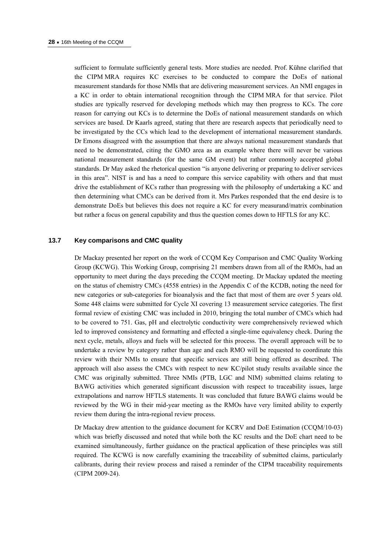sufficient to formulate sufficiently general tests. More studies are needed. Prof. Kühne clarified that the CIPM MRA requires KC exercises to be conducted to compare the DoEs of national measurement standards for those NMIs that are delivering measurement services. An NMI engages in a KC in order to obtain international recognition through the CIPM MRA for that service. Pilot studies are typically reserved for developing methods which may then progress to KCs. The core reason for carrying out KCs is to determine the DoEs of national measurement standards on which services are based. Dr Kaarls agreed, stating that there are research aspects that periodically need to be investigated by the CCs which lead to the development of international measurement standards. Dr Emons disagreed with the assumption that there are always national measurement standards that need to be demonstrated, citing the GMO area as an example where there will never be various national measurement standards (for the same GM event) but rather commonly accepted global standards. Dr May asked the rhetorical question "is anyone delivering or preparing to deliver services in this area". NIST is and has a need to compare this service capability with others and that must drive the establishment of KCs rather than progressing with the philosophy of undertaking a KC and then determining what CMCs can be derived from it. Mrs Parkes responded that the end desire is to demonstrate DoEs but believes this does not require a KC for every measurand/matrix combination but rather a focus on general capability and thus the question comes down to HFTLS for any KC.

#### **13.7 Key comparisons and CMC quality**

Dr Mackay presented her report on the work of CCQM Key Comparison and CMC Quality Working Group (KCWG). This Working Group, comprising 21 members drawn from all of the RMOs, had an opportunity to meet during the days preceding the CCQM meeting. Dr Mackay updated the meeting on the status of chemistry CMCs (4558 entries) in the Appendix C of the KCDB, noting the need for new categories or sub-categories for bioanalysis and the fact that most of them are over 5 years old. Some 448 claims were submitted for Cycle XI covering 13 measurement service categories. The first formal review of existing CMC was included in 2010, bringing the total number of CMCs which had to be covered to 751. Gas, pH and electrolytic conductivity were comprehensively reviewed which led to improved consistency and formatting and effected a single-time equivalency check. During the next cycle, metals, alloys and fuels will be selected for this process. The overall approach will be to undertake a review by category rather than age and each RMO will be requested to coordinate this review with their NMIs to ensure that specific services are still being offered as described. The approach will also assess the CMCs with respect to new KC/pilot study results available since the CMC was originally submitted. Three NMIs (PTB, LGC and NIM) submitted claims relating to BAWG activities which generated significant discussion with respect to traceability issues, large extrapolations and narrow HFTLS statements. It was concluded that future BAWG claims would be reviewed by the WG in their mid-year meeting as the RMOs have very limited ability to expertly review them during the intra-regional review process.

Dr Mackay drew attention to the guidance document for KCRV and DoE Estimation (CCQM/10-03) which was briefly discussed and noted that while both the KC results and the DoE chart need to be examined simultaneously, further guidance on the practical application of these principles was still required. The KCWG is now carefully examining the traceability of submitted claims, particularly calibrants, during their review process and raised a reminder of the CIPM traceability requirements (CIPM 2009-24).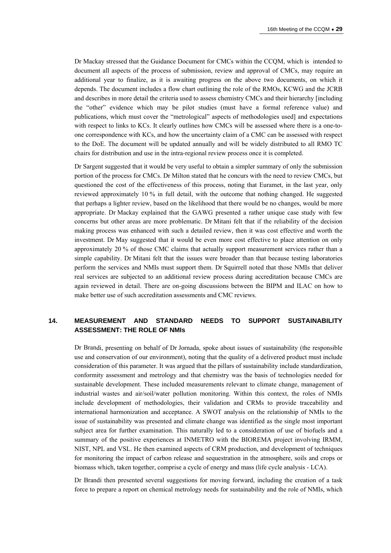Dr Mackay stressed that the Guidance Document for CMCs within the CCQM, which is intended to document all aspects of the process of submission, review and approval of CMCs, may require an additional year to finalize, as it is awaiting progress on the above two documents, on which it depends. The document includes a flow chart outlining the role of the RMOs, KCWG and the JCRB and describes in more detail the criteria used to assess chemistry CMCs and their hierarchy [including the "other" evidence which may be pilot studies (must have a formal reference value) and publications, which must cover the "metrological" aspects of methodologies used] and expectations with respect to links to KCs. It clearly outlines how CMCs will be assessed where there is a one-toone correspondence with KCs, and how the uncertainty claim of a CMC can be assessed with respect to the DoE. The document will be updated annually and will be widely distributed to all RMO TC chairs for distribution and use in the intra-regional review process once it is completed.

Dr Sargent suggested that it would be very useful to obtain a simpler summary of only the submission portion of the process for CMCs. Dr Milton stated that he concurs with the need to review CMCs, but questioned the cost of the effectiveness of this process, noting that Euramet, in the last year, only reviewed approximately 10 % in full detail, with the outcome that nothing changed. He suggested that perhaps a lighter review, based on the likelihood that there would be no changes, would be more appropriate. Dr Mackay explained that the GAWG presented a rather unique case study with few concerns but other areas are more problematic. Dr Mitani felt that if the reliability of the decision making process was enhanced with such a detailed review, then it was cost effective and worth the investment. Dr May suggested that it would be even more cost effective to place attention on only approximately 20 % of those CMC claims that actually support measurement services rather than a simple capability. Dr Mitani felt that the issues were broader than that because testing laboratories perform the services and NMIs must support them. Dr Squirrell noted that those NMIs that deliver real services are subjected to an additional review process during accreditation because CMCs are again reviewed in detail. There are on-going discussions between the BIPM and ILAC on how to make better use of such accreditation assessments and CMC reviews.

## **14. MEASUREMENT AND STANDARD NEEDS TO SUPPORT SUSTAINABILITY ASSESSMENT: THE ROLE OF NMIs**

Dr Brandi, presenting on behalf of Dr Jornada, spoke about issues of sustainability (the responsible use and conservation of our environment), noting that the quality of a delivered product must include consideration of this parameter. It was argued that the pillars of sustainability include standardization, conformity assessment and metrology and that chemistry was the basis of technologies needed for sustainable development. These included measurements relevant to climate change, management of industrial wastes and air/soil/water pollution monitoring. Within this context, the roles of NMIs include development of methodologies, their validation and CRMs to provide traceability and international harmonization and acceptance. A SWOT analysis on the relationship of NMIs to the issue of sustainability was presented and climate change was identified as the single most important subject area for further examination. This naturally led to a consideration of use of biofuels and a summary of the positive experiences at INMETRO with the BIOREMA project involving IRMM, NIST, NPL and VSL. He then examined aspects of CRM production, and development of techniques for monitoring the impact of carbon release and sequestration in the atmosphere, soils and crops or biomass which, taken together, comprise a cycle of energy and mass (life cycle analysis - LCA).

Dr Brandi then presented several suggestions for moving forward, including the creation of a task force to prepare a report on chemical metrology needs for sustainability and the role of NMIs, which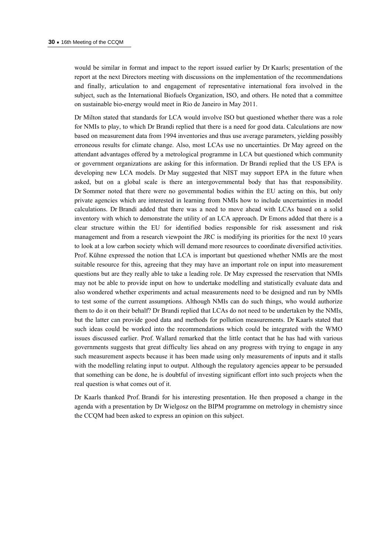would be similar in format and impact to the report issued earlier by Dr Kaarls; presentation of the report at the next Directors meeting with discussions on the implementation of the recommendations and finally, articulation to and engagement of representative international fora involved in the subject, such as the International Biofuels Organization, ISO, and others. He noted that a committee on sustainable bio-energy would meet in Rio de Janeiro in May 2011.

Dr Milton stated that standards for LCA would involve ISO but questioned whether there was a role for NMIs to play, to which Dr Brandi replied that there is a need for good data. Calculations are now based on measurement data from 1994 inventories and thus use average parameters, yielding possibly erroneous results for climate change. Also, most LCAs use no uncertainties. Dr May agreed on the attendant advantages offered by a metrological programme in LCA but questioned which community or government organizations are asking for this information. Dr Brandi replied that the US EPA is developing new LCA models. Dr May suggested that NIST may support EPA in the future when asked, but on a global scale is there an intergovernmental body that has that responsibility. Dr Sommer noted that there were no governmental bodies within the EU acting on this, but only private agencies which are interested in learning from NMIs how to include uncertainties in model calculations. Dr Brandi added that there was a need to move ahead with LCAs based on a solid inventory with which to demonstrate the utility of an LCA approach. Dr Emons added that there is a clear structure within the EU for identified bodies responsible for risk assessment and risk management and from a research viewpoint the JRC is modifying its priorities for the next 10 years to look at a low carbon society which will demand more resources to coordinate diversified activities. Prof. Kühne expressed the notion that LCA is important but questioned whether NMIs are the most suitable resource for this, agreeing that they may have an important role on input into measurement questions but are they really able to take a leading role. Dr May expressed the reservation that NMIs may not be able to provide input on how to undertake modelling and statistically evaluate data and also wondered whether experiments and actual measurements need to be designed and run by NMIs to test some of the current assumptions. Although NMIs can do such things, who would authorize them to do it on their behalf? Dr Brandi replied that LCAs do not need to be undertaken by the NMIs, but the latter can provide good data and methods for pollution measurements. Dr Kaarls stated that such ideas could be worked into the recommendations which could be integrated with the WMO issues discussed earlier. Prof. Wallard remarked that the little contact that he has had with various governments suggests that great difficulty lies ahead on any progress with trying to engage in any such measurement aspects because it has been made using only measurements of inputs and it stalls with the modelling relating input to output. Although the regulatory agencies appear to be persuaded that something can be done, he is doubtful of investing significant effort into such projects when the real question is what comes out of it.

Dr Kaarls thanked Prof. Brandi for his interesting presentation. He then proposed a change in the agenda with a presentation by Dr Wielgosz on the BIPM programme on metrology in chemistry since the CCQM had been asked to express an opinion on this subject.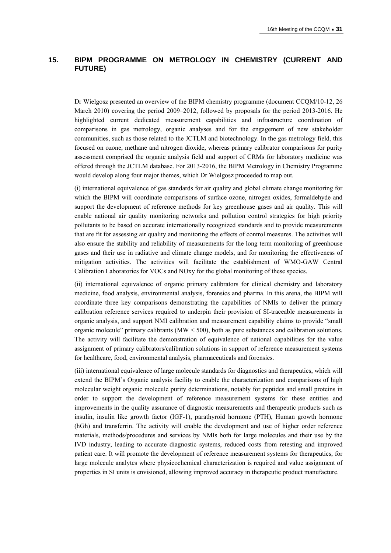## **15. BIPM PROGRAMME ON METROLOGY IN CHEMISTRY (CURRENT AND FUTURE)**

Dr Wielgosz presented an overview of the BIPM chemistry programme (document CCQM/10-12, 26 March 2010) covering the period 2009–2012, followed by proposals for the period 2013-2016. He highlighted current dedicated measurement capabilities and infrastructure coordination of comparisons in gas metrology, organic analyses and for the engagement of new stakeholder communities, such as those related to the JCTLM and biotechnology. In the gas metrology field, this focused on ozone, methane and nitrogen dioxide, whereas primary calibrator comparisons for purity assessment comprised the organic analysis field and support of CRMs for laboratory medicine was offered through the JCTLM database. For 2013-2016, the BIPM Metrology in Chemistry Programme would develop along four major themes, which Dr Wielgosz proceeded to map out.

(i) international equivalence of gas standards for air quality and global climate change monitoring for which the BIPM will coordinate comparisons of surface ozone, nitrogen oxides, formaldehyde and support the development of reference methods for key greenhouse gases and air quality. This will enable national air quality monitoring networks and pollution control strategies for high priority pollutants to be based on accurate internationally recognized standards and to provide measurements that are fit for assessing air quality and monitoring the effects of control measures. The activities will also ensure the stability and reliability of measurements for the long term monitoring of greenhouse gases and their use in radiative and climate change models, and for monitoring the effectiveness of mitigation activities. The activities will facilitate the establishment of WMO-GAW Central Calibration Laboratories for VOCs and NOxy for the global monitoring of these species.

(ii) international equivalence of organic primary calibrators for clinical chemistry and laboratory medicine, food analysis, environmental analysis, forensics and pharma. In this arena, the BIPM will coordinate three key comparisons demonstrating the capabilities of NMIs to deliver the primary calibration reference services required to underpin their provision of SI-traceable measurements in organic analysis, and support NMI calibration and measurement capability claims to provide "small organic molecule" primary calibrants ( $MW < 500$ ), both as pure substances and calibration solutions. The activity will facilitate the demonstration of equivalence of national capabilities for the value assignment of primary calibrators/calibration solutions in support of reference measurement systems for healthcare, food, environmental analysis, pharmaceuticals and forensics.

(iii) international equivalence of large molecule standards for diagnostics and therapeutics, which will extend the BIPM's Organic analysis facility to enable the characterization and comparisons of high molecular weight organic molecule purity determinations, notably for peptides and small proteins in order to support the development of reference measurement systems for these entities and improvements in the quality assurance of diagnostic measurements and therapeutic products such as insulin, insulin like growth factor (IGF-1), parathyroid hormone (PTH), Human growth hormone (hGh) and transferrin. The activity will enable the development and use of higher order reference materials, methods/procedures and services by NMIs both for large molecules and their use by the IVD industry, leading to accurate diagnostic systems, reduced costs from retesting and improved patient care. It will promote the development of reference measurement systems for therapeutics, for large molecule analytes where physicochemical characterization is required and value assignment of properties in SI units is envisioned, allowing improved accuracy in therapeutic product manufacture.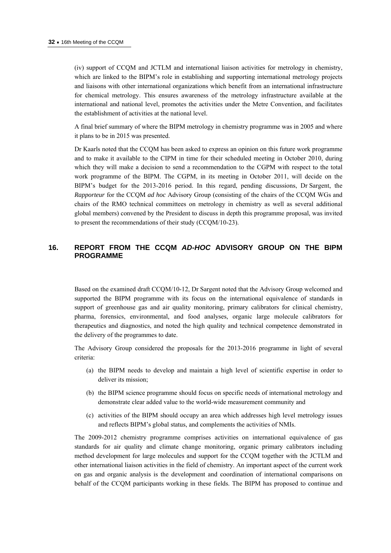(iv) support of CCQM and JCTLM and international liaison activities for metrology in chemistry, which are linked to the BIPM's role in establishing and supporting international metrology projects and liaisons with other international organizations which benefit from an international infrastructure for chemical metrology. This ensures awareness of the metrology infrastructure available at the international and national level, promotes the activities under the Metre Convention, and facilitates the establishment of activities at the national level.

A final brief summary of where the BIPM metrology in chemistry programme was in 2005 and where it plans to be in 2015 was presented.

Dr Kaarls noted that the CCQM has been asked to express an opinion on this future work programme and to make it available to the CIPM in time for their scheduled meeting in October 2010, during which they will make a decision to send a recommendation to the CGPM with respect to the total work programme of the BIPM. The CGPM, in its meeting in October 2011, will decide on the BIPM's budget for the 2013-2016 period. In this regard, pending discussions, Dr Sargent, the *Rapporteur* for the CCQM *ad hoc* Advisory Group (consisting of the chairs of the CCQM WGs and chairs of the RMO technical committees on metrology in chemistry as well as several additional global members) convened by the President to discuss in depth this programme proposal, was invited to present the recommendations of their study (CCQM/10-23).

## **16. REPORT FROM THE CCQM** *AD-HOC* **ADVISORY GROUP ON THE BIPM PROGRAMME**

Based on the examined draft CCQM/10-12, Dr Sargent noted that the Advisory Group welcomed and supported the BIPM programme with its focus on the international equivalence of standards in support of greenhouse gas and air quality monitoring, primary calibrators for clinical chemistry, pharma, forensics, environmental, and food analyses, organic large molecule calibrators for therapeutics and diagnostics, and noted the high quality and technical competence demonstrated in the delivery of the programmes to date.

The Advisory Group considered the proposals for the 2013-2016 programme in light of several criteria:

- (a) the BIPM needs to develop and maintain a high level of scientific expertise in order to deliver its mission;
- (b) the BIPM science programme should focus on specific needs of international metrology and demonstrate clear added value to the world-wide measurement community and
- (c) activities of the BIPM should occupy an area which addresses high level metrology issues and reflects BIPM's global status, and complements the activities of NMIs.

The 2009-2012 chemistry programme comprises activities on international equivalence of gas standards for air quality and climate change monitoring, organic primary calibrators including method development for large molecules and support for the CCQM together with the JCTLM and other international liaison activities in the field of chemistry. An important aspect of the current work on gas and organic analysis is the development and coordination of international comparisons on behalf of the CCQM participants working in these fields. The BIPM has proposed to continue and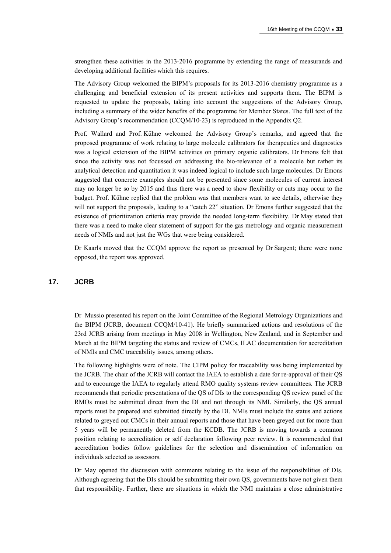strengthen these activities in the 2013-2016 programme by extending the range of measurands and developing additional facilities which this requires.

The Advisory Group welcomed the BIPM's proposals for its 2013-2016 chemistry programme as a challenging and beneficial extension of its present activities and supports them. The BIPM is requested to update the proposals, taking into account the suggestions of the Advisory Group, including a summary of the wider benefits of the programme for Member States. The full text of the Advisory Group's recommendation (CCQM/10-23) is reproduced in the Appendix Q2.

Prof. Wallard and Prof. Kühne welcomed the Advisory Group's remarks, and agreed that the proposed programme of work relating to large molecule calibrators for therapeutics and diagnostics was a logical extension of the BIPM activities on primary organic calibrators. Dr Emons felt that since the activity was not focussed on addressing the bio-relevance of a molecule but rather its analytical detection and quantitation it was indeed logical to include such large molecules. Dr Emons suggested that concrete examples should not be presented since some molecules of current interest may no longer be so by 2015 and thus there was a need to show flexibility or cuts may occur to the budget. Prof. Kühne replied that the problem was that members want to see details, otherwise they will not support the proposals, leading to a "catch 22" situation. Dr Emons further suggested that the existence of prioritization criteria may provide the needed long-term flexibility. Dr May stated that there was a need to make clear statement of support for the gas metrology and organic measurement needs of NMIs and not just the WGs that were being considered.

Dr Kaarls moved that the CCQM approve the report as presented by Dr Sargent; there were none opposed, the report was approved.

#### **17. JCRB**

Dr Mussio presented his report on the Joint Committee of the Regional Metrology Organizations and the BIPM (JCRB, document CCQM/10-41). He briefly summarized actions and resolutions of the 23rd JCRB arising from meetings in May 2008 in Wellington, New Zealand, and in September and March at the BIPM targeting the status and review of CMCs, ILAC documentation for accreditation of NMIs and CMC traceability issues, among others.

The following highlights were of note. The CIPM policy for traceability was being implemented by the JCRB. The chair of the JCRB will contact the IAEA to establish a date for re-approval of their QS and to encourage the IAEA to regularly attend RMO quality systems review committees. The JCRB recommends that periodic presentations of the QS of DIs to the corresponding QS review panel of the RMOs must be submitted direct from the DI and not through its NMI. Similarly, the QS annual reports must be prepared and submitted directly by the DI. NMIs must include the status and actions related to greyed out CMCs in their annual reports and those that have been greyed out for more than 5 years will be permanently deleted from the KCDB. The JCRB is moving towards a common position relating to accreditation or self declaration following peer review. It is recommended that accreditation bodies follow guidelines for the selection and dissemination of information on individuals selected as assessors.

Dr May opened the discussion with comments relating to the issue of the responsibilities of DIs. Although agreeing that the DIs should be submitting their own QS, governments have not given them that responsibility. Further, there are situations in which the NMI maintains a close administrative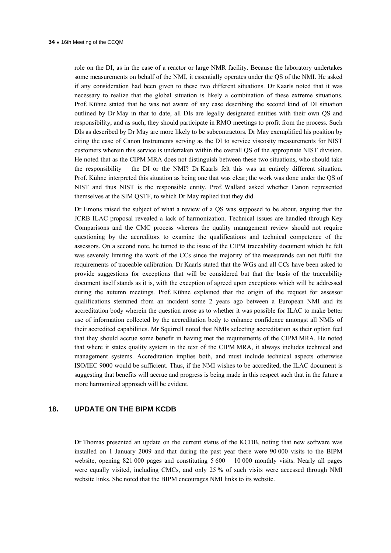role on the DI, as in the case of a reactor or large NMR facility. Because the laboratory undertakes some measurements on behalf of the NMI, it essentially operates under the QS of the NMI. He asked if any consideration had been given to these two different situations. Dr Kaarls noted that it was necessary to realize that the global situation is likely a combination of these extreme situations. Prof. Kühne stated that he was not aware of any case describing the second kind of DI situation outlined by Dr May in that to date, all DIs are legally designated entities with their own QS and responsibility, and as such, they should participate in RMO meetings to profit from the process. Such DIs as described by Dr May are more likely to be subcontractors. Dr May exemplified his position by citing the case of Canon Instruments serving as the DI to service viscosity measurements for NIST customers wherein this service is undertaken within the overall QS of the appropriate NIST division. He noted that as the CIPM MRA does not distinguish between these two situations, who should take the responsibility – the DI or the NMI? Dr Kaarls felt this was an entirely different situation. Prof. Kühne interpreted this situation as being one that was clear; the work was done under the QS of NIST and thus NIST is the responsible entity. Prof. Wallard asked whether Canon represented themselves at the SIM QSTF, to which Dr May replied that they did.

Dr Emons raised the subject of what a review of a QS was supposed to be about, arguing that the JCRB ILAC proposal revealed a lack of harmonization. Technical issues are handled through Key Comparisons and the CMC process whereas the quality management review should not require questioning by the accreditors to examine the qualifications and technical competence of the assessors. On a second note, he turned to the issue of the CIPM traceability document which he felt was severely limiting the work of the CCs since the majority of the measurands can not fulfil the requirements of traceable calibration. Dr Kaarls stated that the WGs and all CCs have been asked to provide suggestions for exceptions that will be considered but that the basis of the traceability document itself stands as it is, with the exception of agreed upon exceptions which will be addressed during the autumn meetings. Prof. Kühne explained that the origin of the request for assessor qualifications stemmed from an incident some 2 years ago between a European NMI and its accreditation body wherein the question arose as to whether it was possible for ILAC to make better use of information collected by the accreditation body to enhance confidence amongst all NMIs of their accredited capabilities. Mr Squirrell noted that NMIs selecting accreditation as their option feel that they should accrue some benefit in having met the requirements of the CIPM MRA. He noted that where it states quality system in the text of the CIPM MRA, it always includes technical and management systems. Accreditation implies both, and must include technical aspects otherwise ISO/IEC 9000 would be sufficient. Thus, if the NMI wishes to be accredited, the ILAC document is suggesting that benefits will accrue and progress is being made in this respect such that in the future a more harmonized approach will be evident.

#### **18. UPDATE ON THE BIPM KCDB**

Dr Thomas presented an update on the current status of the KCDB, noting that new software was installed on 1 January 2009 and that during the past year there were 90 000 visits to the BIPM website, opening 821 000 pages and constituting  $5600 - 10000$  monthly visits. Nearly all pages were equally visited, including CMCs, and only 25 % of such visits were accessed through NMI website links. She noted that the BIPM encourages NMI links to its website.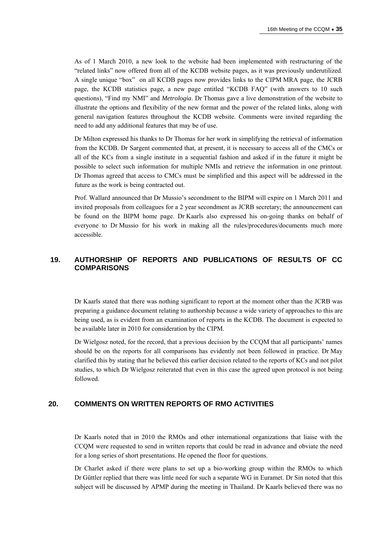As of 1 March 2010, a new look to the website had been implemented with restructuring of the "related links" now offered from all of the KCDB website pages, as it was previously underutilized. A single unique "box" on all KCDB pages now provides links to the CIPM MRA page, the JCRB page, the KCDB statistics page, a new page entitled "KCDB FAQ" (with answers to 10 such questions), "Find my NMI" and *Metrologia*. Dr Thomas gave a live demonstration of the website to illustrate the options and flexibility of the new format and the power of the related links, along with general navigation features throughout the KCDB website. Comments were invited regarding the need to add any additional features that may be of use.

Dr Milton expressed his thanks to Dr Thomas for her work in simplifying the retrieval of information from the KCDB. Dr Sargent commented that, at present, it is necessary to access all of the CMCs or all of the KCs from a single institute in a sequential fashion and asked if in the future it might be possible to select such information for multiple NMIs and retrieve the information in one printout. Dr Thomas agreed that access to CMCs must be simplified and this aspect will be addressed in the future as the work is being contracted out.

Prof. Wallard announced that Dr Mussio's secondment to the BIPM will expire on 1 March 2011 and invited proposals from colleagues for a 2 year secondment as JCRB secretary; the announcement can be found on the BIPM home page. Dr Kaarls also expressed his on-going thanks on behalf of everyone to Dr Mussio for his work in making all the rules/procedures/documents much more accessible.

## **19. AUTHORSHIP OF REPORTS AND PUBLICATIONS OF RESULTS OF CC COMPARISONS**

Dr Kaarls stated that there was nothing significant to report at the moment other than the JCRB was preparing a guidance document relating to authorship because a wide variety of approaches to this are being used, as is evident from an examination of reports in the KCDB. The document is expected to be available later in 2010 for consideration by the CIPM.

Dr Wielgosz noted, for the record, that a previous decision by the CCQM that all participants' names should be on the reports for all comparisons has evidently not been followed in practice. Dr May clarified this by stating that he believed this earlier decision related to the reports of KCs and not pilot studies, to which Dr Wielgosz reiterated that even in this case the agreed upon protocol is not being followed.

## **20. COMMENTS ON WRITTEN REPORTS OF RMO ACTIVITIES**

Dr Kaarls noted that in 2010 the RMOs and other international organizations that liaise with the CCQM were requested to send in written reports that could be read in advance and obviate the need for a long series of short presentations. He opened the floor for questions.

Dr Charlet asked if there were plans to set up a bio-working group within the RMOs to which Dr Güttler replied that there was little need for such a separate WG in Euramet. Dr Sin noted that this subject will be discussed by APMP during the meeting in Thailand. Dr Kaarls believed there was no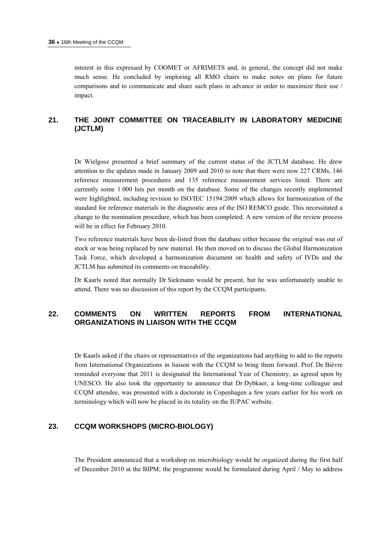interest in this expressed by COOMET or AFRIMETS and, in general, the concept did not make much sense. He concluded by imploring all RMO chairs to make notes on plans for future comparisons and to communicate and share such plans in advance in order to maximize their use / impact.

## **21. THE JOINT COMMITTEE ON TRACEABILITY IN LABORATORY MEDICINE (JCTLM)**

Dr Wielgosz presented a brief summary of the current status of the JCTLM database. He drew attention to the updates made in January 2009 and 2010 to note that there were now 227 CRMs, 146 reference measurement procedures and 135 reference measurement services listed. There are currently some 1 000 hits per month on the database. Some of the changes recently implemented were highlighted, including revision to ISO/IEC 15194:2009 which allows for harmonization of the standard for reference materials in the diagnostic area of the ISO REMCO guide. This necessitated a change to the nomination procedure, which has been completed. A new version of the review process will be in effect for February 2010.

Two reference materials have been de-listed from the database either because the original was out of stock or was being replaced by new material. He then moved on to discuss the Global Harmonization Task Force, which developed a harmonization document on health and safety of IVDs and the JCTLM has submitted its comments on traceability.

Dr Kaarls noted that normally Dr Siekmann would be present, but he was unfortunately unable to attend. There was no discussion of this report by the CCQM participants.

## **22. COMMENTS ON WRITTEN REPORTS FROM INTERNATIONAL ORGANIZATIONS IN LIAISON WITH THE CCQM**

Dr Kaarls asked if the chairs or representatives of the organizations had anything to add to the reports from International Organizations in liaison with the CCQM to bring them forward. Prof. De Bièvre reminded everyone that 2011 is designated the International Year of Chemistry, as agreed upon by UNESCO. He also took the opportunity to announce that Dr Dybkaer, a long-time colleague and CCQM attendee, was presented with a doctorate in Copenhagen a few years earlier for his work on terminology which will now be placed in its totality on the IUPAC website.

#### **23. CCQM WORKSHOPS (MICRO-BIOLOGY)**

The President announced that a workshop on microbiology would be organized during the first half of December 2010 at the BIPM; the programme would be formulated during April / May to address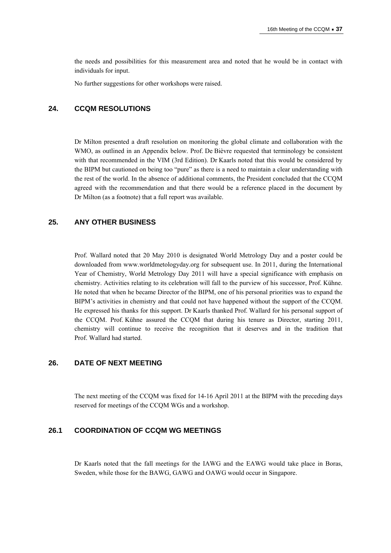the needs and possibilities for this measurement area and noted that he would be in contact with individuals for input.

No further suggestions for other workshops were raised.

#### **24. CCQM RESOLUTIONS**

Dr Milton presented a draft resolution on monitoring the global climate and collaboration with the WMO, as outlined in an Appendix below. Prof. De Bièvre requested that terminology be consistent with that recommended in the VIM (3rd Edition). Dr Kaarls noted that this would be considered by the BIPM but cautioned on being too "pure" as there is a need to maintain a clear understanding with the rest of the world. In the absence of additional comments, the President concluded that the CCQM agreed with the recommendation and that there would be a reference placed in the document by Dr Milton (as a footnote) that a full report was available.

## **25. ANY OTHER BUSINESS**

Prof. Wallard noted that 20 May 2010 is designated World Metrology Day and a poster could be downloaded from www.worldmetologyday.org for subsequent use. In 2011, during the International Year of Chemistry, World Metrology Day 2011 will have a special significance with emphasis on chemistry. Activities relating to its celebration will fall to the purview of his successor, Prof. Kühne. He noted that when he became Director of the BIPM, one of his personal priorities was to expand the BIPM's activities in chemistry and that could not have happened without the support of the CCQM. He expressed his thanks for this support. Dr Kaarls thanked Prof. Wallard for his personal support of the CCQM. Prof. Kühne assured the CCQM that during his tenure as Director, starting 2011, chemistry will continue to receive the recognition that it deserves and in the tradition that Prof. Wallard had started.

## **26. DATE OF NEXT MEETING**

The next meeting of the CCQM was fixed for 14-16 April 2011 at the BIPM with the preceding days reserved for meetings of the CCQM WGs and a workshop.

## **26.1 COORDINATION OF CCQM WG MEETINGS**

Dr Kaarls noted that the fall meetings for the IAWG and the EAWG would take place in Boras, Sweden, while those for the BAWG, GAWG and OAWG would occur in Singapore.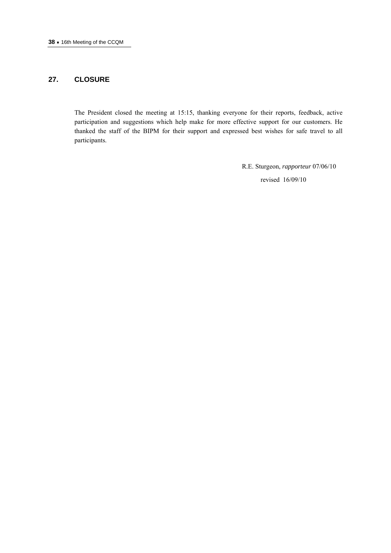## **27. CLOSURE**

The President closed the meeting at 15:15, thanking everyone for their reports, feedback, active participation and suggestions which help make for more effective support for our customers. He thanked the staff of the BIPM for their support and expressed best wishes for safe travel to all participants.

> R.E. Sturgeon, *rapporteur* 07/06/10 revised 16/09/10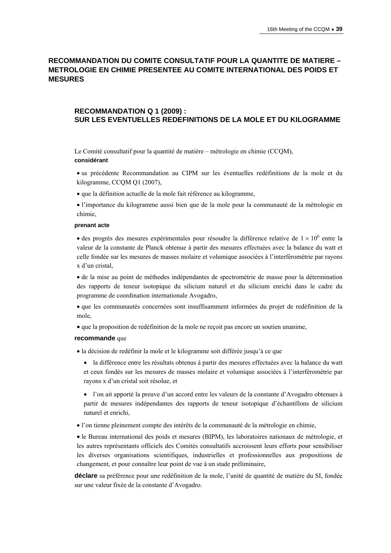## **RECOMMANDATION DU COMITE CONSULTATIF POUR LA QUANTITE DE MATIERE – METROLOGIE EN CHIMIE PRESENTEE AU COMITE INTERNATIONAL DES POIDS ET MESURES**

## **RECOMMANDATION Q 1 (2009) : SUR LES EVENTUELLES REDEFINITIONS DE LA MOLE ET DU KILOGRAMME**

Le Comité consultatif pour la quantité de matière – métrologie en chimie (CCQM),

#### **considérant**

- sa précédente Recommandation au CIPM sur les éventuelles redéfinitions de la mole et du kilogramme, CCQM Q1 (2007),
- que la définition actuelle de la mole fait référence au kilogramme,
- l'importance du kilogramme aussi bien que de la mole pour la communauté de la métrologie en chimie,

#### **prenant acte**

• des progrès des mesures expérimentales pour résoudre la différence relative de  $1 \times 10^6$  entre la valeur de la constante de Planck obtenue à partir des mesures effectuées avec la balance du watt et celle fondée sur les mesures de masses molaire et volumique associées à l'interférométrie par rayons x d'un cristal,

 de la mise au point de méthodes indépendantes de spectrométrie de masse pour la détermination des rapports de teneur isotopique du silicium naturel et du silicium enrichi dans le cadre du programme de coordination internationale Avogadro,

 que les communautés concernées sont insuffisamment informées du projet de redéfinition de la mole,

que la proposition de redéfinition de la mole ne reçoit pas encore un soutien unanime,

#### **recommande** que

la décision de redéfinir la mole et le kilogramme soit différée jusqu'à ce que

 la différence entre les résultats obtenus à partir des mesures effectuées avec la balance du watt et ceux fondés sur les mesures de masses molaire et volumique associées à l'interférométrie par rayons x d'un cristal soit résolue, et

 l'on ait apporté la preuve d'un accord entre les valeurs de la constante d'Avogadro obtenues à partir de mesures indépendantes des rapports de teneur isotopique d'échantillons de silicium naturel et enrichi,

l'on tienne pleinement compte des intérêts de la communauté de la métrologie en chimie,

 le Bureau international des poids et mesures (BIPM), les laboratoires nationaux de métrologie, et les autres représentants officiels des Comités consultatifs accroissent leurs efforts pour sensibiliser les diverses organisations scientifiques, industrielles et professionnelles aux propositions de changement, et pour connaître leur point de vue à un stade préliminaire,

**déclare** sa préférence pour une redéfinition de la mole, l'unité de quantité de matière du SI, fondée sur une valeur fixée de la constante d'Avogadro.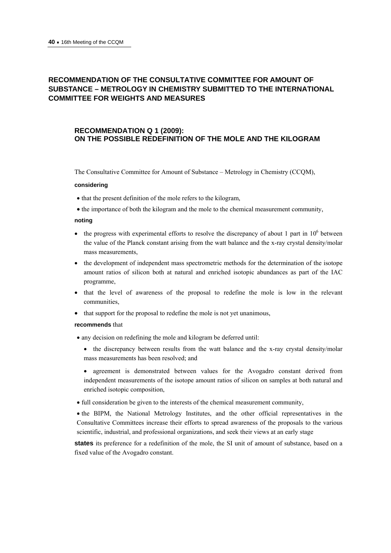## **RECOMMENDATION OF THE CONSULTATIVE COMMITTEE FOR AMOUNT OF SUBSTANCE – METROLOGY IN CHEMISTRY SUBMITTED TO THE INTERNATIONAL COMMITTEE FOR WEIGHTS AND MEASURES**

## **RECOMMENDATION Q 1 (2009): ON THE POSSIBLE REDEFINITION OF THE MOLE AND THE KILOGRAM**

The Consultative Committee for Amount of Substance – Metrology in Chemistry (CCQM),

#### **considering**

- that the present definition of the mole refers to the kilogram,
- the importance of both the kilogram and the mole to the chemical measurement community,

#### **noting**

- $\bullet$  the progress with experimental efforts to resolve the discrepancy of about 1 part in 10<sup>6</sup> between the value of the Planck constant arising from the watt balance and the x-ray crystal density/molar mass measurements,
- the development of independent mass spectrometric methods for the determination of the isotope amount ratios of silicon both at natural and enriched isotopic abundances as part of the IAC programme,
- that the level of awareness of the proposal to redefine the mole is low in the relevant communities,
- that support for the proposal to redefine the mole is not yet unanimous,

#### **recommends** that

- any decision on redefining the mole and kilogram be deferred until:
	- the discrepancy between results from the watt balance and the x-ray crystal density/molar mass measurements has been resolved; and
	- agreement is demonstrated between values for the Avogadro constant derived from independent measurements of the isotope amount ratios of silicon on samples at both natural and enriched isotopic composition,
- full consideration be given to the interests of the chemical measurement community,

• the BIPM, the National Metrology Institutes, and the other official representatives in the Consultative Committees increase their efforts to spread awareness of the proposals to the various scientific, industrial, and professional organizations, and seek their views at an early stage

**states** its preference for a redefinition of the mole, the SI unit of amount of substance, based on a fixed value of the Avogadro constant.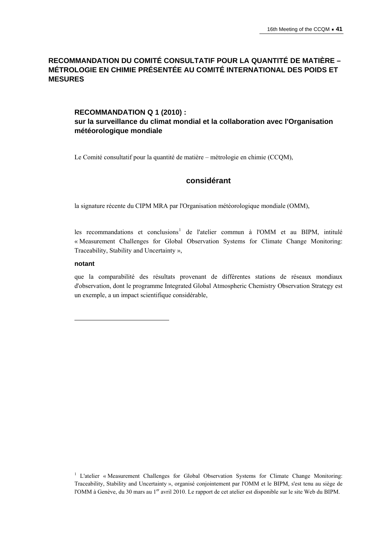## **RECOMMANDATION DU COMITÉ CONSULTATIF POUR LA QUANTITÉ DE MATIÈRE – MÉTROLOGIE EN CHIMIE PRÉSENTÉE AU COMITÉ INTERNATIONAL DES POIDS ET MESURES**

## **RECOMMANDATION Q 1 (2010) : sur la surveillance du climat mondial et la collaboration avec l'Organisation météorologique mondiale**

Le Comité consultatif pour la quantité de matière – métrologie en chimie (CCQM),

## **considérant**

la signature récente du CIPM MRA par l'Organisation météorologique mondiale (OMM),

les recommandations et conclusions<sup>[1](#page-40-0)</sup> de l'atelier commun à l'OMM et au BIPM, intitulé « Measurement Challenges for Global Observation Systems for Climate Change Monitoring: Traceability, Stability and Uncertainty »,

#### **notant**

 $\overline{a}$ 

que la comparabilité des résultats provenant de différentes stations de réseaux mondiaux d'observation, dont le programme Integrated Global Atmospheric Chemistry Observation Strategy est un exemple, a un impact scientifique considérable,

<span id="page-40-0"></span><sup>&</sup>lt;sup>1</sup> L'atelier « Measurement Challenges for Global Observation Systems for Climate Change Monitoring: Traceability, Stability and Uncertainty », organisé conjointement par l'OMM et le BIPM, s'est tenu au siège de l'OMM à Genève, du 30 mars au 1<sup>er</sup> avril 2010. Le rapport de cet atelier est disponible sur le site Web du BIPM.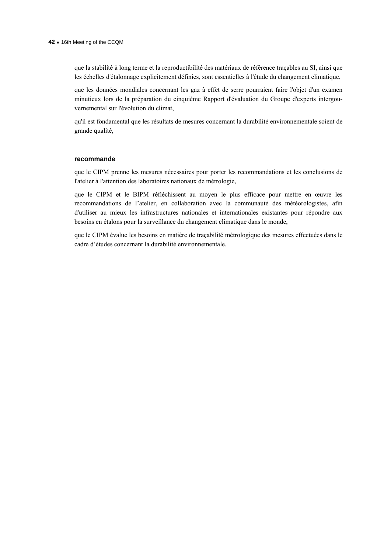que la stabilité à long terme et la reproductibilité des matériaux de référence traçables au SI, ainsi que les échelles d'étalonnage explicitement définies, sont essentielles à l'étude du changement climatique,

que les données mondiales concernant les gaz à effet de serre pourraient faire l'objet d'un examen minutieux lors de la préparation du cinquième Rapport d'évaluation du Groupe d'experts intergouvernemental sur l'évolution du climat,

qu'il est fondamental que les résultats de mesures concernant la durabilité environnementale soient de grande qualité,

#### **recommande**

que le CIPM prenne les mesures nécessaires pour porter les recommandations et les conclusions de l'atelier à l'attention des laboratoires nationaux de métrologie,

que le CIPM et le BIPM réfléchissent au moyen le plus efficace pour mettre en œuvre les recommandations de l'atelier, en collaboration avec la communauté des météorologistes, afin d'utiliser au mieux les infrastructures nationales et internationales existantes pour répondre aux besoins en étalons pour la surveillance du changement climatique dans le monde,

que le CIPM évalue les besoins en matière de traçabilité métrologique des mesures effectuées dans le cadre d'études concernant la durabilité environnementale.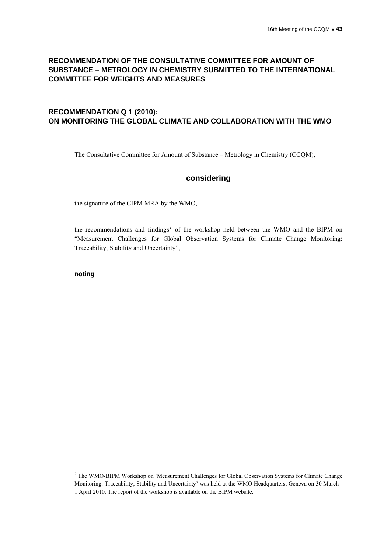## **RECOMMENDATION OF THE CONSULTATIVE COMMITTEE FOR AMOUNT OF SUBSTANCE – METROLOGY IN CHEMISTRY SUBMITTED TO THE INTERNATIONAL COMMITTEE FOR WEIGHTS AND MEASURES**

## **RECOMMENDATION Q 1 (2010): ON MONITORING THE GLOBAL CLIMATE AND COLLABORATION WITH THE WMO**

The Consultative Committee for Amount of Substance – Metrology in Chemistry (CCQM),

## **considering**

the signature of the CIPM MRA by the WMO,

the recommendations and findings<sup>[2](#page-42-0)</sup> of the workshop held between the WMO and the BIPM on "Measurement Challenges for Global Observation Systems for Climate Change Monitoring: Traceability, Stability and Uncertainty",

**noting** 

 $\overline{a}$ 

<span id="page-42-0"></span><sup>&</sup>lt;sup>2</sup> The WMO-BIPM Workshop on 'Measurement Challenges for Global Observation Systems for Climate Change Monitoring: Traceability, Stability and Uncertainty' was held at the WMO Headquarters, Geneva on 30 March - 1 April 2010. The report of the workshop is available on the BIPM website.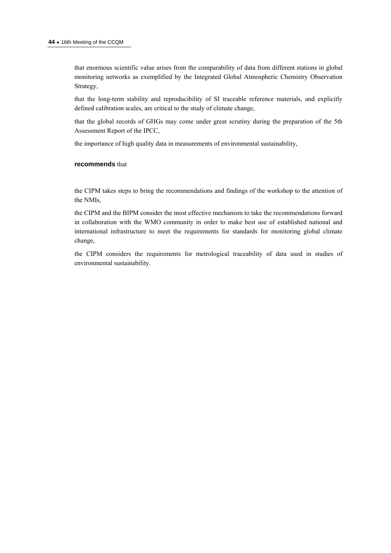that enormous scientific value arises from the comparability of data from different stations in global monitoring networks as exemplified by the Integrated Global Atmospheric Chemistry Observation Strategy,

that the long-term stability and reproducibility of SI traceable reference materials, and explicitly defined calibration scales, are critical to the study of climate change,

that the global records of GHGs may come under great scrutiny during the preparation of the 5th Assessment Report of the IPCC,

the importance of high quality data in measurements of environmental sustainability,

#### **recommends** that

the CIPM takes steps to bring the recommendations and findings of the workshop to the attention of the NMIs,

the CIPM and the BIPM consider the most effective mechanism to take the recommendations forward in collaboration with the WMO community in order to make best use of established national and international infrastructure to meet the requirements for standards for monitoring global climate change,

the CIPM considers the requirements for metrological traceability of data used in studies of environmental sustainability.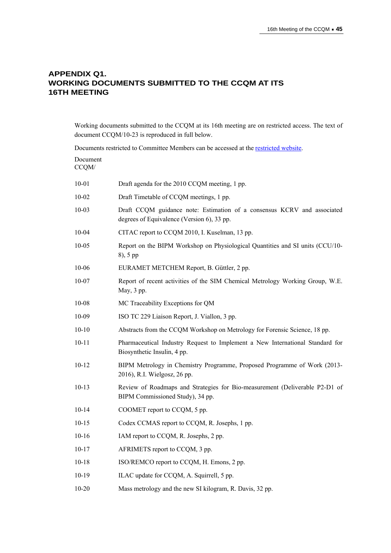## **APPENDIX Q1. WORKING DOCUMENTS SUBMITTED TO THE CCQM AT ITS 16TH MEETING**

Working documents submitted to the CCQM at its 16th meeting are on restricted access. The text of document CCQM/10-23 is reproduced in full below.

Documents restricted to Committee Members can be accessed at the [restricted website](http://www.bipm.org/en/committees/cc/ccqm/).

| Document<br>CCQM/ |                                                                                                                       |
|-------------------|-----------------------------------------------------------------------------------------------------------------------|
| $10 - 01$         | Draft agenda for the 2010 CCQM meeting, 1 pp.                                                                         |
| $10 - 02$         | Draft Timetable of CCQM meetings, 1 pp.                                                                               |
| $10 - 03$         | Draft CCQM guidance note: Estimation of a consensus KCRV and associated<br>degrees of Equivalence (Version 6), 33 pp. |
| 10-04             | CITAC report to CCQM 2010, I. Kuselman, 13 pp.                                                                        |
| $10 - 05$         | Report on the BIPM Workshop on Physiological Quantities and SI units (CCU/10-<br>8), 5 pp                             |
| 10-06             | EURAMET METCHEM Report, B. Güttler, 2 pp.                                                                             |
| $10 - 07$         | Report of recent activities of the SIM Chemical Metrology Working Group, W.E.<br>May, 3 pp.                           |
| $10 - 08$         | MC Traceability Exceptions for QM                                                                                     |
| $10 - 09$         | ISO TC 229 Liaison Report, J. Viallon, 3 pp.                                                                          |
| $10 - 10$         | Abstracts from the CCQM Workshop on Metrology for Forensic Science, 18 pp.                                            |
| $10 - 11$         | Pharmaceutical Industry Request to Implement a New International Standard for<br>Biosynthetic Insulin, 4 pp.          |
| $10 - 12$         | BIPM Metrology in Chemistry Programme, Proposed Programme of Work (2013-<br>2016), R.I. Wielgosz, 26 pp.              |
| $10-13$           | Review of Roadmaps and Strategies for Bio-measurement (Deliverable P2-D1 of<br>BIPM Commissioned Study), 34 pp.       |
| $10-14$           | COOMET report to CCQM, 5 pp.                                                                                          |
| $10-15$           | Codex CCMAS report to CCQM, R. Josephs, 1 pp.                                                                         |
| $10-16$           | IAM report to CCQM, R. Josephs, 2 pp.                                                                                 |
| $10 - 17$         | AFRIMETS report to CCQM, 3 pp.                                                                                        |
| $10 - 18$         | ISO/REMCO report to CCQM, H. Emons, 2 pp.                                                                             |
| $10-19$           | ILAC update for CCQM, A. Squirrell, 5 pp.                                                                             |
|                   |                                                                                                                       |

[10-20](http://search3.bipm.org/cc/CCQM/Restricted/16/CCQM_10_20_Mass_metrology_and_the_new_SI_1kg.pdf) Mass metrology and the new SI kilogram, R. Davis, 32 pp.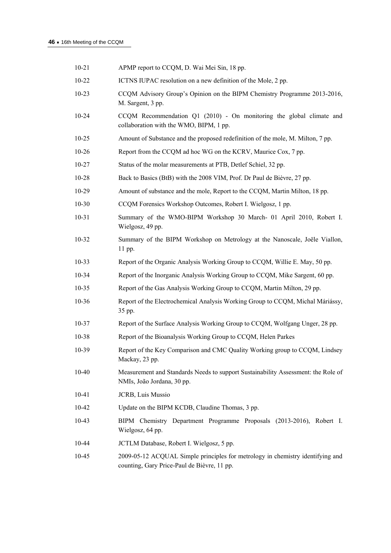| $10 - 21$ | APMP report to CCQM, D. Wai Mei Sin, 18 pp.                                                                                   |
|-----------|-------------------------------------------------------------------------------------------------------------------------------|
| $10-22$   | ICTNS IUPAC resolution on a new definition of the Mole, 2 pp.                                                                 |
| $10 - 23$ | CCQM Advisory Group's Opinion on the BIPM Chemistry Programme 2013-2016,<br>M. Sargent, 3 pp.                                 |
| $10 - 24$ | CCQM Recommendation Q1 (2010) - On monitoring the global climate and<br>collaboration with the WMO, BIPM, 1 pp.               |
| $10 - 25$ | Amount of Substance and the proposed redefinition of the mole, M. Milton, 7 pp.                                               |
| $10 - 26$ | Report from the CCQM ad hoc WG on the KCRV, Maurice Cox, 7 pp.                                                                |
| $10 - 27$ | Status of the molar measurements at PTB, Detlef Schiel, 32 pp.                                                                |
| $10 - 28$ | Back to Basics (BtB) with the 2008 VIM, Prof. Dr Paul de Bièvre, 27 pp.                                                       |
| $10-29$   | Amount of substance and the mole, Report to the CCQM, Martin Milton, 18 pp.                                                   |
| $10 - 30$ | CCQM Forensics Workshop Outcomes, Robert I. Wielgosz, 1 pp.                                                                   |
| $10 - 31$ | Summary of the WMO-BIPM Workshop 30 March- 01 April 2010, Robert I.<br>Wielgosz, 49 pp.                                       |
| $10 - 32$ | Summary of the BIPM Workshop on Metrology at the Nanoscale, Joële Viallon,<br>11 pp.                                          |
| $10 - 33$ | Report of the Organic Analysis Working Group to CCQM, Willie E. May, 50 pp.                                                   |
| $10-34$   | Report of the Inorganic Analysis Working Group to CCQM, Mike Sargent, 60 pp.                                                  |
| $10 - 35$ | Report of the Gas Analysis Working Group to CCQM, Martin Milton, 29 pp.                                                       |
| $10 - 36$ | Report of the Electrochemical Analysis Working Group to CCQM, Michal Máriássy,<br>35 pp.                                      |
| $10 - 37$ | Report of the Surface Analysis Working Group to CCQM, Wolfgang Unger, 28 pp.                                                  |
| $10 - 38$ | Report of the Bioanalysis Working Group to CCQM, Helen Parkes                                                                 |
| 10-39     | Report of the Key Comparison and CMC Quality Working group to CCQM, Lindsey<br>Mackay, 23 pp.                                 |
| $10 - 40$ | Measurement and Standards Needs to support Sustainability Assessment: the Role of<br>NMIs, João Jordana, 30 pp.               |
| $10 - 41$ | JCRB, Luis Mussio                                                                                                             |
| 10-42     | Update on the BIPM KCDB, Claudine Thomas, 3 pp.                                                                               |
| 10-43     | BIPM Chemistry Department Programme Proposals (2013-2016), Robert I.<br>Wielgosz, 64 pp.                                      |
| 10-44     | JCTLM Database, Robert I. Wielgosz, 5 pp.                                                                                     |
| 10-45     | 2009-05-12 ACQUAL Simple principles for metrology in chemistry identifying and<br>counting, Gary Price-Paul de Bièvre, 11 pp. |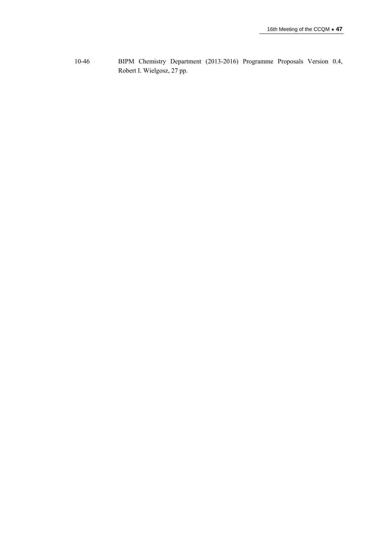[10-46](http://search3.bipm.org/cc/CCQM/Restricted/16/CCQM10-46.pdf) BIPM Chemistry Department (2013-2016) Programme Proposals Version 0.4, Robert I. Wielgosz, 27 pp.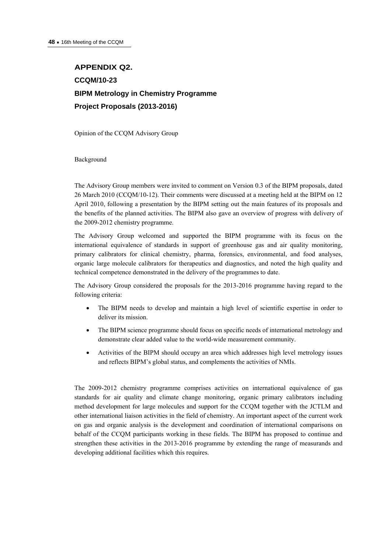## **APPENDIX Q2. CCQM/10-23 BIPM Metrology in Chemistry Programme Project Proposals (2013-2016)**

Opinion of the CCQM Advisory Group

Background

The Advisory Group members were invited to comment on Version 0.3 of the BIPM proposals, dated 26 March 2010 (CCQM/10-12). Their comments were discussed at a meeting held at the BIPM on 12 April 2010, following a presentation by the BIPM setting out the main features of its proposals and the benefits of the planned activities. The BIPM also gave an overview of progress with delivery of the 2009-2012 chemistry programme.

The Advisory Group welcomed and supported the BIPM programme with its focus on the international equivalence of standards in support of greenhouse gas and air quality monitoring, primary calibrators for clinical chemistry, pharma, forensics, environmental, and food analyses, organic large molecule calibrators for therapeutics and diagnostics, and noted the high quality and technical competence demonstrated in the delivery of the programmes to date.

The Advisory Group considered the proposals for the 2013-2016 programme having regard to the following criteria:

- The BIPM needs to develop and maintain a high level of scientific expertise in order to deliver its mission.
- The BIPM science programme should focus on specific needs of international metrology and demonstrate clear added value to the world-wide measurement community.
- Activities of the BIPM should occupy an area which addresses high level metrology issues and reflects BIPM's global status, and complements the activities of NMIs.

The 2009-2012 chemistry programme comprises activities on international equivalence of gas standards for air quality and climate change monitoring, organic primary calibrators including method development for large molecules and support for the CCQM together with the JCTLM and other international liaison activities in the field of chemistry. An important aspect of the current work on gas and organic analysis is the development and coordination of international comparisons on behalf of the CCQM participants working in these fields. The BIPM has proposed to continue and strengthen these activities in the 2013-2016 programme by extending the range of measurands and developing additional facilities which this requires.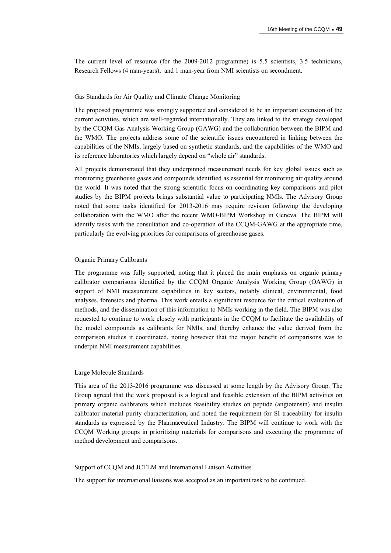The current level of resource (for the 2009-2012 programme) is 5.5 scientists, 3.5 technicians, Research Fellows (4 man-years), and 1 man-year from NMI scientists on secondment.

#### Gas Standards for Air Quality and Climate Change Monitoring

The proposed programme was strongly supported and considered to be an important extension of the current activities, which are well-regarded internationally. They are linked to the strategy developed by the CCQM Gas Analysis Working Group (GAWG) and the collaboration between the BIPM and the WMO. The projects address some of the scientific issues encountered in linking between the capabilities of the NMIs, largely based on synthetic standards, and the capabilities of the WMO and its reference laboratories which largely depend on "whole air" standards.

All projects demonstrated that they underpinned measurement needs for key global issues such as monitoring greenhouse gases and compounds identified as essential for monitoring air quality around the world. It was noted that the strong scientific focus on coordinating key comparisons and pilot studies by the BIPM projects brings substantial value to participating NMIs. The Advisory Group noted that some tasks identified for 2013-2016 may require revision following the developing collaboration with the WMO after the recent WMO-BIPM Workshop in Geneva. The BIPM will identify tasks with the consultation and co-operation of the CCQM-GAWG at the appropriate time, particularly the evolving priorities for comparisons of greenhouse gases.

#### Organic Primary Calibrants

The programme was fully supported, noting that it placed the main emphasis on organic primary calibrator comparisons identified by the CCQM Organic Analysis Working Group (OAWG) in support of NMI measurement capabilities in key sectors, notably clinical, environmental, food analyses, forensics and pharma. This work entails a significant resource for the critical evaluation of methods, and the dissemination of this information to NMIs working in the field. The BIPM was also requested to continue to work closely with participants in the CCQM to facilitate the availability of the model compounds as calibrants for NMIs, and thereby enhance the value derived from the comparison studies it coordinated, noting however that the major benefit of comparisons was to underpin NMI measurement capabilities.

#### Large Molecule Standards

This area of the 2013-2016 programme was discussed at some length by the Advisory Group. The Group agreed that the work proposed is a logical and feasible extension of the BIPM activities on primary organic calibrators which includes feasibility studies on peptide (angiotensin) and insulin calibrator material purity characterization, and noted the requirement for SI traceability for insulin standards as expressed by the Pharmaceutical Industry. The BIPM will continue to work with the CCQM Working groups in prioritizing materials for comparisons and executing the programme of method development and comparisons.

#### Support of CCQM and JCTLM and International Liaison Activities

The support for international liaisons was accepted as an important task to be continued.